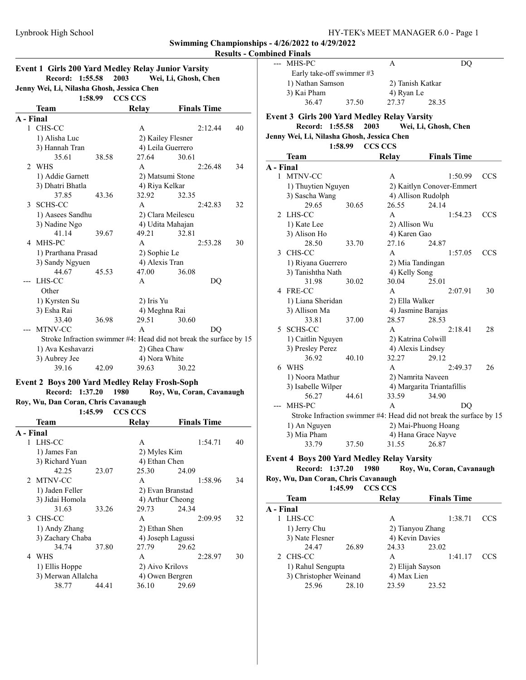### Results - Combined Finals

|                                            |                  |                 |                | <b>Event 1 Girls 200 Yard Medley Relay Junior Varsity</b> |    |  |  |  |  |  |
|--------------------------------------------|------------------|-----------------|----------------|-----------------------------------------------------------|----|--|--|--|--|--|
|                                            |                  | Record: 1:55.58 | 2003           | Wei, Li, Ghosh, Chen                                      |    |  |  |  |  |  |
| Jenny Wei, Li, Nilasha Ghosh, Jessica Chen |                  |                 |                |                                                           |    |  |  |  |  |  |
|                                            |                  | 1:58.99         | <b>CCS CCS</b> |                                                           |    |  |  |  |  |  |
|                                            | <b>Team</b>      |                 | Relay          | <b>Finals Time</b>                                        |    |  |  |  |  |  |
| A - Final                                  |                  |                 |                |                                                           |    |  |  |  |  |  |
|                                            | 1 CHS-CC         |                 | A              | 2:12.44                                                   | 40 |  |  |  |  |  |
|                                            | 1) Alisha Luc    |                 |                | 2) Kailey Flesner                                         |    |  |  |  |  |  |
|                                            | 3) Hannah Tran   |                 |                | 4) Leila Guerrero                                         |    |  |  |  |  |  |
|                                            | 35.61            | 38.58           | 27.64          | 30.61                                                     |    |  |  |  |  |  |
|                                            | 2 WHS            |                 | A              | 2:26.48                                                   | 34 |  |  |  |  |  |
|                                            | 1) Addie Garnett |                 |                | 2) Matsumi Stone                                          |    |  |  |  |  |  |
|                                            | 3) Dhatri Bhatla |                 | 4) Riya Kelkar |                                                           |    |  |  |  |  |  |
|                                            | 37.85            | 43.36           | 32.92          | 32.35                                                     |    |  |  |  |  |  |
|                                            | SCHS-CC          |                 | A              | 2:42.83                                                   | 32 |  |  |  |  |  |

| 3 | SCHS-CC                                                            |       | A              |                   | 2:42.83 | 32 |                 |
|---|--------------------------------------------------------------------|-------|----------------|-------------------|---------|----|-----------------|
|   | 1) Aasees Sandhu                                                   |       |                | 2) Clara Meilescu |         |    | 2 LF            |
|   | 3) Nadine Ngo                                                      |       |                | 4) Udita Mahajan  |         |    | 1)              |
|   | 41.14                                                              | 39.67 | 49.21          | 32.81             |         |    | 3)              |
|   | 4 MHS-PC                                                           |       | A              |                   | 2:53.28 | 30 |                 |
|   | 1) Prarthana Prasad                                                |       | 2) Sophie Le   |                   |         |    | CI<br>3         |
|   | 3) Sandy Ngyuen                                                    |       | 4) Alexis Tran |                   |         |    | 1)              |
|   | 44.67                                                              | 45.53 | 47.00          | 36.08             |         |    | 3)              |
|   | LHS-CC                                                             |       | A              |                   | DQ      |    |                 |
|   | Other                                                              |       |                |                   |         |    | FF<br>4         |
|   | 1) Kyrsten Su                                                      |       | 2) Iris Yu     |                   |         |    | 1)              |
|   | 3) Esha Rai                                                        |       | 4) Meghna Rai  |                   |         |    | 3)              |
|   | 33.40                                                              | 36.98 | 29.51          | 30.60             |         |    |                 |
|   | MTNV-CC                                                            |       | A              |                   | DO      |    | <b>SC</b><br>5. |
|   | Stroke Infraction swimmer #4: Head did not break the surface by 15 |       |                |                   |         |    | 1)              |
|   | 1) Ava Keshavarzi                                                  |       | 2) Ghea Chaw   |                   |         |    | 3)              |
|   | 3) Aubrey Jee                                                      |       | 4) Nora White  |                   |         |    |                 |
|   | 39.16                                                              | 42.09 | 39.63          | 30.22             |         |    | W<br>6          |

# Event 2 Boys 200 Yard Medley Relay Frosh-Soph

Record: 1:37.20 1980 Roy, Wu, Coran, Cavanaugh Roy, Wu, Dan Coran, Chris Cavanaugh 1:45.99 CCS CCS

|           | <b>Team</b>        |       | Relay           | <b>Finals Time</b> |    |
|-----------|--------------------|-------|-----------------|--------------------|----|
| A - Final |                    |       |                 |                    |    |
|           | 1 LHS-CC           |       | A               | 1:54.71            | 40 |
|           | 1) James Fan       |       | 2) Myles Kim    |                    |    |
|           | 3) Richard Yuan    |       | 4) Ethan Chen   |                    |    |
|           | 42.25              | 23.07 | 25.30           | 24.09              |    |
|           | 2 MTNV-CC          |       | A               | 1:58.96            | 34 |
|           | 1) Jaden Feller    |       |                 | 2) Evan Branstad   |    |
|           | 3) Jidai Homola    |       |                 | 4) Arthur Cheong   |    |
|           | 31.63              | 33.26 | 29.73           | 24.34              |    |
| 3         | CHS-CC             |       | A               | 2:09.95            | 32 |
|           | 1) Andy Zhang      |       | 2) Ethan Shen   |                    |    |
|           | 3) Zachary Chaba   |       |                 | 4) Joseph Lagussi  |    |
|           | 34.74              | 37.80 | 27.79           | 29.62              |    |
| 4         | WHS                |       | A               | 2:28.97            | 30 |
|           | 1) Ellis Hoppe     |       | 2) Aivo Krilovs |                    |    |
|           | 3) Merwan Allalcha |       |                 | 4) Owen Bergren    |    |
|           | 38.77              | 44.41 | 36.10           | 29.69              |    |

| ---       | MHS-PC                                      |       | А                  | DQ                                                                 |            |
|-----------|---------------------------------------------|-------|--------------------|--------------------------------------------------------------------|------------|
|           | Early take-off swimmer #3                   |       |                    |                                                                    |            |
|           | 1) Nathan Samson                            |       | 2) Tanish Katkar   |                                                                    |            |
|           | 3) Kai Pham                                 |       | 4) Ryan Le         |                                                                    |            |
|           | 36.47                                       | 37.50 | 27.37              | 28.35                                                              |            |
|           | Event 3 Girls 200 Yard Medley Relay Varsity |       |                    |                                                                    |            |
|           | Record: 1:55.58                             |       | 2003               | Wei, Li, Ghosh, Chen                                               |            |
|           | Jenny Wei, Li, Nilasha Ghosh, Jessica Chen  |       |                    |                                                                    |            |
|           | 1:58.99                                     |       | <b>CCS CCS</b>     |                                                                    |            |
|           | Team                                        |       | Relay              | <b>Finals Time</b>                                                 |            |
| A - Final |                                             |       |                    |                                                                    |            |
|           | 1 MTNV-CC                                   |       | A                  | 1:50.99                                                            | <b>CCS</b> |
|           | 1) Thuytien Nguyen                          |       |                    | 2) Kaitlyn Conover-Emmert                                          |            |
|           | 3) Sascha Wang                              |       |                    | 4) Allison Rudolph                                                 |            |
|           | 29.65                                       | 30.65 | 26.55              | 24.14                                                              |            |
| 2         | LHS-CC                                      |       | A                  | 1:54.23                                                            | <b>CCS</b> |
|           | 1) Kate Lee                                 |       | 2) Allison Wu      |                                                                    |            |
|           | 3) Alison Ho                                |       | 4) Karen Gao       |                                                                    |            |
|           | 28.50                                       | 33.70 | 27.16              | 24.87                                                              |            |
| 3         | CHS-CC                                      |       | A                  | 1:57.05                                                            | <b>CCS</b> |
|           | 1) Riyana Guerrero                          |       | 2) Mia Tandingan   |                                                                    |            |
|           | 3) Tanishtha Nath                           |       | 4) Kelly Song      |                                                                    |            |
|           | 31.98                                       | 30.02 | 30.04              | 25.01                                                              |            |
|           | 4 FRE-CC                                    |       | A                  | 2:07.91                                                            | 30         |
|           | 1) Liana Sheridan                           |       | 2) Ella Walker     |                                                                    |            |
|           | 3) Allison Ma                               |       | 4) Jasmine Barajas |                                                                    |            |
|           | 33.81                                       | 37.00 | 28.57              | 28.53                                                              |            |
| 5         | SCHS-CC                                     |       | A                  | 2:18.41                                                            | 28         |
|           | 1) Caitlin Nguyen                           |       | 2) Katrina Colwill |                                                                    |            |
|           | 3) Presley Perez                            |       | 4) Alexis Lindsey  |                                                                    |            |
|           | 36.92                                       | 40.10 | 32.27              | 29.12                                                              |            |
| 6         | WHS                                         |       | A                  | 2:49.37                                                            | 26         |
|           | 1) Noora Mathur                             |       |                    | 2) Namrita Naveen                                                  |            |
|           | 3) Isabelle Wilper                          |       |                    | 4) Margarita Triantafillis                                         |            |
|           | 56.27                                       | 44.61 | 33.59              | 34.90                                                              |            |
|           | MHS-PC                                      |       | A                  | DQ                                                                 |            |
|           |                                             |       |                    | Stroke Infraction swimmer #4: Head did not break the surface by 15 |            |
|           | 1) An Nguyen                                |       |                    | 2) Mai-Phuong Hoang                                                |            |
|           | 3) Mia Pham                                 |       |                    | 4) Hana Grace Nayve                                                |            |
|           | 33.79                                       | 37.50 | 31.55              | 26.87                                                              |            |
|           |                                             |       |                    |                                                                    |            |

Event 4 Boys 200 Yard Medley Relay Varsity<br>Record: 1:37.20 1980 Roy, Wu, 0 Roy, Wu, Coran, Cavanaugh Roy, Wu, Dan Coran, Chris Cavanaugh 1:45.99 CCS CCS

| <b>Team</b>            |       | Relay            | <b>Finals Time</b> |     |
|------------------------|-------|------------------|--------------------|-----|
| A - Final              |       |                  |                    |     |
| LHS-CC                 |       | A                | 1:38.71            | CCS |
| 1) Jerry Chu           |       |                  | 2) Tianyou Zhang   |     |
| 3) Nate Flesner        |       | 4) Kevin Davies  |                    |     |
| 24.47                  | 26.89 | 24.33            | 23.02              |     |
| 2 CHS-CC               |       | A                | 1:41.17            | CCS |
| 1) Rahul Sengupta      |       | 2) Elijah Sayson |                    |     |
| 3) Christopher Weinand |       | 4) Max Lien      |                    |     |
| 25.96                  | 28.10 | 23.59            | 23.52              |     |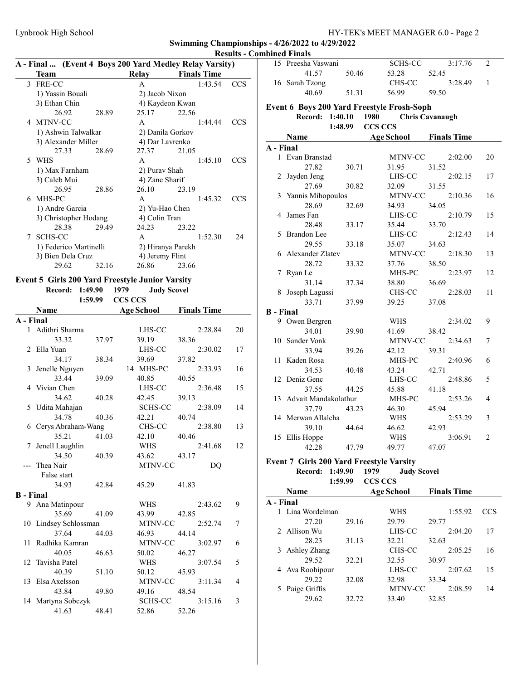|   | Team                   |       | Relay            | $\mathbf{X}$ - Final  (EVCRC + DOYS 200 Taru McGicy Ixciay Varsity)<br><b>Finals Time</b> |            |
|---|------------------------|-------|------------------|-------------------------------------------------------------------------------------------|------------|
|   |                        |       |                  |                                                                                           |            |
|   | 3 FRE-CC               |       | $\mathsf{A}$     | 1:43.54                                                                                   | CCS        |
|   | 1) Yassin Bouali       |       | 2) Jacob Nixon   |                                                                                           |            |
|   | 3) Ethan Chin          |       |                  | 4) Kaydeon Kwan                                                                           |            |
|   | 26.92                  | 28.89 | 25.17            | 22.56                                                                                     |            |
|   | 4 MTNV-CC              |       | A                | 1:44.44                                                                                   | CCS        |
|   | 1) Ashwin Talwalkar    |       | 2) Danila Gorkov |                                                                                           |            |
|   | 3) Alexander Miller    |       | 4) Dar Lavrenko  |                                                                                           |            |
|   | 27.33                  | 28.69 | 27.37            | 21.05                                                                                     |            |
|   | 5 WHS                  |       | $\mathsf{A}$     | 1:45.10                                                                                   | CCS        |
|   | 1) Max Farnham         |       | 2) Purav Shah    |                                                                                           |            |
|   | 3) Caleb Mui           |       | 4) Zane Sharif   |                                                                                           |            |
|   | 26.95                  | 28.86 | 26.10            | 23.19                                                                                     |            |
|   | 6 MHS-PC               |       | A                | 1:45.32                                                                                   | <b>CCS</b> |
|   | 1) Andre Garcia        |       | 2) Yu-Hao Chen   |                                                                                           |            |
|   | 3) Christopher Hodang  |       | 4) Colin Tran    |                                                                                           |            |
|   | 28.38                  | 29.49 | 24.23            | 23.22                                                                                     |            |
| 7 | <b>SCHS-CC</b>         |       | $\mathsf{A}$     | 1:52.30                                                                                   | 24         |
|   | 1) Federico Martinelli |       |                  | 2) Hiranya Parekh                                                                         |            |
|   | 3) Bien Dela Cruz      |       | 4) Jeremy Flint  |                                                                                           |            |
|   | 29.62                  | 32.16 | 26.86            | 23.66                                                                                     |            |

# Results - Combined Finals A - Final ... (Event 4 Boys 200 Yard Medley Relay Varsity)

## Event 5 Girls 200 Yard Freestyle Junior Varsity

Record: 1:49.90 1979 Judy Scovel<br>1:50.00 CCS CCS

| 1:59.99<br><b>CCS CCS</b>   |                       |       |                   |                    |    |  |  |
|-----------------------------|-----------------------|-------|-------------------|--------------------|----|--|--|
|                             | <b>Name</b>           |       | <b>Age School</b> | <b>Finals Time</b> |    |  |  |
| A - Final                   |                       |       |                   |                    |    |  |  |
|                             | 1 Adithri Sharma      |       | LHS-CC            | 2:28.84            | 20 |  |  |
|                             | 33.32                 | 37.97 | 39.19             | 38.36              |    |  |  |
| $\mathcal{D}_{\mathcal{L}}$ | Ella Yuan             |       | LHS-CC            | 2:30.02            | 17 |  |  |
|                             | 34.17                 | 38.34 | 39.69             | 37.82              |    |  |  |
|                             | 3 Jenelle Nguyen      |       | 14 MHS-PC         | 2:33.93            | 16 |  |  |
|                             | 33.44                 | 39.09 | 40.85             | 40.55              |    |  |  |
| 4                           | Vivian Chen           |       | LHS-CC            | 2:36.48            | 15 |  |  |
|                             | 34.62                 | 40.28 | 42.45             | 39.13              |    |  |  |
|                             | 5 Udita Mahajan       |       | <b>SCHS-CC</b>    | 2:38.09            | 14 |  |  |
|                             | 34.78                 | 40.36 | 42.21             | 40.74              |    |  |  |
|                             | 6 Cerys Abraham-Wang  |       | CHS-CC            | 2:38.80            | 13 |  |  |
|                             | 35.21                 | 41.03 | 42.10             | 40.46              |    |  |  |
| 7                           | Jenell Laughlin       |       | <b>WHS</b>        | 2:41.68            | 12 |  |  |
|                             | 34.50                 | 40.39 | 43.62             | 43.17              |    |  |  |
|                             | Thea Nair             |       | MTNV-CC           | DQ                 |    |  |  |
|                             | False start           |       |                   |                    |    |  |  |
|                             | 34.93                 | 42.84 | 45.29             | 41.83              |    |  |  |
| <b>B</b> - Final            |                       |       |                   |                    |    |  |  |
|                             | 9 Ana Matinpour       |       | WHS               | 2:43.62            | 9  |  |  |
|                             | 35.69                 | 41.09 | 43.99             | 42.85              |    |  |  |
|                             | 10 Lindsey Schlossman |       | MTNV-CC           | 2:52.74            | 7  |  |  |
|                             | 37.64                 | 44.03 | 46.93             | 44.14              |    |  |  |
| 11                          | Radhika Kamran        |       | MTNV-CC           | 3:02.97            | 6  |  |  |
|                             | 40.05                 | 46.63 | 50.02             | 46.27              |    |  |  |
|                             | 12 Tavisha Patel      |       | WHS               | 3:07.54            | 5  |  |  |
|                             | 40.39                 | 51.10 | 50.12             | 45.93              |    |  |  |
| 13                          | Elsa Axelsson         |       | MTNV-CC           | 3:11.34            | 4  |  |  |
|                             | 43.84                 | 49.80 | 49.16             | 48.54              |    |  |  |
|                             | 14 Martyna Sobczyk    |       | <b>SCHS-CC</b>    | 3:15.16            | 3  |  |  |
|                             | 41.63                 | 48.41 | 52.86             | 52.26              |    |  |  |
|                             |                       |       |                   |                    |    |  |  |

|                  | 15 Preesha Vaswani                         |                | <b>SCHS-CC</b>    | 3:17.76                | 2              |
|------------------|--------------------------------------------|----------------|-------------------|------------------------|----------------|
|                  | 41.57                                      | 50.46          | 53.28             | 52.45                  |                |
|                  | 16 Sarah Tzong                             |                | CHS-CC            | 3:28.49                | 1              |
|                  | 40.69                                      | 51.31          | 56.99             | 59.50                  |                |
|                  | Event 6 Boys 200 Yard Freestyle Frosh-Soph |                |                   |                        |                |
|                  | Record:<br>1:40.10                         | 1980           |                   | <b>Chris Cavanaugh</b> |                |
|                  | 1:48.99                                    | <b>CCS CCS</b> |                   |                        |                |
|                  | Name                                       |                | <b>Age School</b> | <b>Finals Time</b>     |                |
| A - Final        |                                            |                |                   |                        |                |
|                  | 1 Evan Branstad                            |                | MTNV-CC           | 2:02.00                | 20             |
|                  | 27.82                                      | 30.71          | 31.95             | 31.52                  |                |
| 2                | Jayden Jeng                                |                | LHS-CC            | 2:02.15                | 17             |
|                  | 27.69                                      | 30.82          | 32.09             | 31.55                  |                |
| 3                | Yannis Mihopoulos                          |                | MTNV-CC           | 2:10.36                | 16             |
|                  | 28.69                                      | 32.69          | 34.93             | 34.05                  |                |
| 4                | James Fan                                  |                | LHS-CC            | 2:10.79                | 15             |
|                  | 28.48                                      | 33.17          | 35.44             | 33.70                  |                |
| 5                | <b>Brandon</b> Lee                         |                | LHS-CC            | 2:12.43                | 14             |
|                  | 29.55                                      | 33.18          | 35.07             | 34.63                  |                |
|                  | 6 Alexander Zlatev                         |                | MTNV-CC           | 2:18.30                | 13             |
|                  | 28.72                                      | 33.32          | 37.76             | 38.50                  |                |
| 7                | Ryan Le                                    |                | MHS-PC            | 2:23.97                | 12             |
|                  | 31.14                                      | 37.34          | 38.80             | 36.69                  |                |
|                  | 8 Joseph Lagussi                           |                | CHS-CC            | 2:28.03                | 11             |
|                  | 33.71                                      | 37.99          | 39.25             | 37.08                  |                |
| <b>B</b> - Final |                                            |                |                   |                        |                |
|                  | 9 Owen Bergren                             |                | WHS               | 2:34.02                | 9              |
|                  | 34.01                                      | 39.90          | 41.69             | 38.42                  |                |
|                  | 10 Sander Vonk                             |                | MTNV-CC           | 2:34.63                | 7              |
|                  | 33.94                                      | 39.26          | 42.12             | 39.31                  |                |
|                  | 11 Kaden Rosa                              |                | MHS-PC            | 2:40.96                | 6              |
|                  | 34.53                                      | 40.48          | 43.24             | 42.71                  |                |
|                  | 12 Deniz Genc                              |                | LHS-CC            | 2:48.86                | 5              |
|                  | 37.55                                      | 44.25          | 45.88             | 41.18                  |                |
| 13               | Advait Mandakolathur                       |                | MHS-PC            | 2:53.26                | 4              |
|                  | 37.79                                      | 43.23          | 46.30             | 45.94                  |                |
|                  | 14 Merwan Allalcha                         |                | WHS               | 2:53.29                | 3              |
|                  | 39.10                                      | 44.64          | 46.62             | 42.93                  |                |
| 15               | Ellis Hoppe                                |                | WHS               | 3:06.91                | $\overline{2}$ |
|                  | 42.28                                      | 47.79          | 49.77             | 47.07                  |                |
|                  |                                            |                |                   |                        |                |

### Event 7 Girls 200 Yard Freestyle Varsity

|  | Record: 1:49.90 1979 |                 | <b>Judy Scovel</b> |
|--|----------------------|-----------------|--------------------|
|  |                      | 1:59.99 CCS CCS |                    |

|           | <b>Name</b>     |       | <b>Age School</b> | <b>Finals Time</b> |     |  |  |  |
|-----------|-----------------|-------|-------------------|--------------------|-----|--|--|--|
| A - Final |                 |       |                   |                    |     |  |  |  |
|           | Lina Wordelman  |       | WHS               | 1:55.92            | CCS |  |  |  |
|           | 27.20           | 29.16 | 29.79             | 29.77              |     |  |  |  |
|           | 2 Allison Wu    |       | LHS-CC            | 2:04.20            | 17  |  |  |  |
|           | 28.23           | 31.13 | 32.21             | 32.63              |     |  |  |  |
| 3         | Ashley Zhang    |       | CHS-CC            | 2:05.25            | 16  |  |  |  |
|           | 29.52           | 32.21 | 32.55             | 30.97              |     |  |  |  |
|           | 4 Ava Roohipour |       | LHS-CC            | 2:07.62            | 15  |  |  |  |
|           | 29.22           | 32.08 | 32.98             | 33.34              |     |  |  |  |
|           | Paige Griffis   |       | <b>MTNV-CC</b>    | 2:08.59            | 14  |  |  |  |
|           | 29.62           | 32.72 | 33.40             | 32.85              |     |  |  |  |
|           |                 |       |                   |                    |     |  |  |  |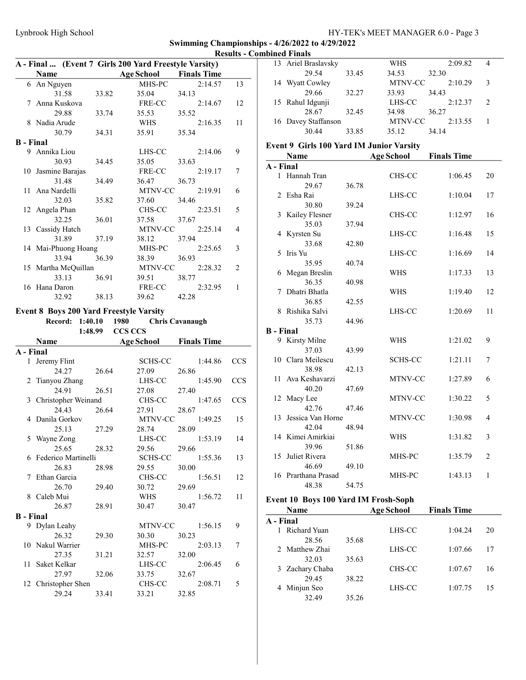|                  | A - Final  (Event 7 Girls 200 Yard Freestyle Varsity) |       |                          |                        |            |
|------------------|-------------------------------------------------------|-------|--------------------------|------------------------|------------|
|                  | Name                                                  |       | <b>Age School</b>        | <b>Finals Time</b>     |            |
|                  | 6 An Nguyen                                           |       | MHS-PC                   | 2:14.57                | 13         |
|                  | 31.58                                                 | 33.82 | 35.04                    | 34.13                  |            |
|                  | 7 Anna Kuskova                                        |       | FRE-CC                   | 2:14.67                | 12         |
|                  | 29.88                                                 | 33.74 | 35.53                    | 35.52                  |            |
|                  | 8 Nadia Arude                                         |       | WHS                      | 2:16.35                | 11         |
|                  | 30.79                                                 | 34.31 | 35.91                    | 35.34                  |            |
| <b>B</b> - Final |                                                       |       |                          |                        |            |
|                  | 9 Annika Liou                                         |       | LHS-CC                   | 2:14.06                | 9          |
|                  | 30.93                                                 | 34.45 | 35.05                    | 33.63                  |            |
| 10               | Jasmine Barajas                                       |       | FRE-CC                   | 2:19.17                | 7          |
|                  | 31.48                                                 | 34.49 | 36.47                    | 36.73                  |            |
| 11               | Ana Nardelli                                          |       | MTNV-CC                  | 2:19.91                | 6          |
|                  | 32.03                                                 | 35.82 | 37.60                    | 34.46                  |            |
|                  | 12 Angela Phan                                        |       | CHS-CC                   | 2:23.51                | 5          |
|                  | 32.25                                                 | 36.01 | 37.58                    | 37.67                  |            |
| 13               | Cassidy Hatch                                         |       | MTNV-CC                  | 2:25.14                | 4          |
|                  | 31.89                                                 | 37.19 | 38.12                    | 37.94                  |            |
|                  | 14 Mai-Phuong Hoang                                   |       | MHS-PC                   | 2:25.65                | 3          |
|                  | 33.94                                                 | 36.39 | 38.39                    | 36.93                  |            |
|                  | 15 Martha McQuillan                                   |       | MTNV-CC                  | 2:28.32                | 2          |
|                  | 33.13                                                 | 36.91 | 39.51                    | 38.77                  |            |
|                  | 16 Hana Daron                                         |       | FRE-CC                   | 2:32.95                | 1          |
|                  | 32.92                                                 | 38.13 | 39.62                    | 42.28                  |            |
|                  |                                                       |       |                          |                        |            |
|                  | <b>Event 8 Boys 200 Yard Freestyle Varsity</b>        |       | 1980                     |                        |            |
|                  | Record: 1:40.10<br>1:48.99                            |       | <b>CCS CCS</b>           | <b>Chris Cavanaugh</b> |            |
|                  | Name                                                  |       | <b>Age School</b>        | <b>Finals Time</b>     |            |
| A - Final        |                                                       |       |                          |                        |            |
| $\mathbf{1}$     |                                                       |       |                          |                        |            |
|                  |                                                       |       |                          |                        |            |
|                  | Jeremy Flint                                          |       | <b>SCHS-CC</b>           | 1:44.86                | <b>CCS</b> |
|                  | 24.27                                                 | 26.64 | 27.09                    | 26.86                  |            |
| 2                | Tianyou Zhang                                         |       | LHS-CC                   | 1:45.90                | <b>CCS</b> |
|                  | 24.91                                                 | 26.51 | 27.08                    | 27.40                  |            |
| 3                | Christopher Weinand                                   |       | CHS-CC                   | 1:47.65                | <b>CCS</b> |
|                  | 24.43                                                 | 26.64 | 27.91                    | 28.67                  |            |
| 4                | Danila Gorkov                                         |       | $\operatorname{MTNV-CC}$ | 1:49.25                | 15         |
|                  | 25.13                                                 | 27.29 | 28.74                    | 28.09                  |            |
| 5                | Wayne Zong                                            |       | LHS-CC                   | 1:53.19                | 14         |
|                  | 25.65                                                 | 28.32 | 29.56                    | 29.66                  |            |
|                  | 6 Federico Martinelli                                 |       | SCHS-CC                  | 1:55.36                | 13         |
|                  | 26.83                                                 | 28.98 | 29.55                    | 30.00                  |            |
| 7                | Ethan Garcia                                          |       | CHS-CC                   | 1:56.51                | 12         |
|                  | 26.70                                                 | 29.40 | 30.72                    | 29.69                  |            |
| 8                | Caleb Mui                                             |       | WHS                      | 1:56.72                | 11         |
|                  | 26.87                                                 | 28.91 | 30.47                    | 30.47                  |            |
| <b>B</b> - Final |                                                       |       |                          |                        |            |
|                  | 9 Dylan Leahy                                         |       | MTNV-CC                  | 1:56.15                | 9          |
|                  | 26.32                                                 | 29.30 | 30.30                    | 30.23                  |            |
| 10               | Nakul Warrier                                         |       | MHS-PC                   | 2:03.13                | 7          |
|                  | 27.35                                                 | 31.21 | 32.57                    | 32.00                  |            |
| 11               | Saket Kelkar                                          |       | LHS-CC                   | 2:06.45                | 6          |
|                  | 27.97                                                 | 32.06 | 33.75                    | 32.67                  |            |
| 12               | Christopher Shen<br>29.24                             | 33.41 | CHS-CC<br>33.21          | 2:08.71<br>32.85       | 5          |

| 13               | Ariel Braslavsky                         |       | WHS               | 2:09.82            | 4              |
|------------------|------------------------------------------|-------|-------------------|--------------------|----------------|
|                  | 29.54                                    | 33.45 | 34.53             | 32.30              |                |
|                  | 14 Wyatt Cowley                          |       | MTNV-CC           | 2:10.29            | 3              |
|                  | 29.66                                    | 32.27 | 33.93             | 34.43              |                |
| 15               | Rahul Idgunji                            |       | LHS-CC            | 2:12.37            | 2              |
|                  | 28.67                                    | 32.45 | 34.98             | 36.27              |                |
|                  | 16 Davey Staffanson                      |       | MTNV-CC           | 2:13.55            | 1              |
|                  | 30.44                                    | 33.85 | 35.12             | 34.14              |                |
|                  | Event 9 Girls 100 Yard IM Junior Varsity |       |                   |                    |                |
|                  | Name                                     |       | <b>Age School</b> | <b>Finals Time</b> |                |
| A - Final        |                                          |       |                   |                    |                |
|                  | 1 Hannah Tran                            |       | CHS-CC            | 1:06.45            | 20             |
|                  | 29.67                                    | 36.78 |                   |                    |                |
|                  | 2 Esha Rai                               |       | LHS-CC            | 1:10.04            | 17             |
|                  | 30.80                                    | 39.24 |                   |                    |                |
|                  | 3 Kailey Flesner                         |       | CHS-CC            | 1:12.97            | 16             |
|                  | 35.03                                    | 37.94 |                   |                    |                |
| 4                | Kyrsten Su                               |       | LHS-CC            | 1:16.48            | 15             |
|                  | 33.68                                    | 42.80 |                   |                    |                |
| 5                | Iris Yu                                  |       | LHS-CC            | 1:16.69            | 14             |
|                  | 35.95                                    | 40.74 |                   |                    |                |
| 6                | Megan Breslin                            |       | WHS               | 1:17.33            | 13             |
|                  | 36.35                                    | 40.98 |                   |                    |                |
| 7                | Dhatri Bhatla                            |       | <b>WHS</b>        | 1:19.40            | 12             |
|                  | 36.85                                    | 42.55 |                   |                    |                |
| 8                | Rishika Salvi                            |       | LHS-CC            | 1:20.69            | 11             |
|                  | 35.73                                    | 44.96 |                   |                    |                |
| <b>B</b> - Final |                                          |       |                   |                    |                |
|                  | 9 Kirsty Milne                           |       | WHS               | 1:21.02            | 9              |
|                  | 37.03                                    | 43.99 |                   |                    |                |
|                  | 10 Clara Meilescu                        |       | <b>SCHS-CC</b>    | 1:21.11            | 7              |
|                  | 38.98                                    | 42.13 |                   |                    |                |
|                  | 11 Ava Keshavarzi                        |       | MTNV-CC           | 1:27.89            | 6              |
|                  | 40.20                                    | 47.69 |                   |                    |                |
|                  | 12 Macy Lee                              |       | MTNV-CC           | 1:30.22            | 5              |
|                  | 42.76                                    | 47.46 |                   |                    |                |
| 13               | Jessica Van Horne                        |       | MTNV-CC           | 1:30.98            | 4              |
|                  | 42.04                                    | 48.94 |                   |                    |                |
|                  | 14 Kimei Amirkiai                        |       | WHS               | 1:31.82            | 3              |
|                  | 39.96                                    | 51.86 |                   |                    |                |
|                  | 15 Juliet Rivera                         |       | MHS-PC            | 1:35.79            | $\overline{2}$ |
|                  | 46.69                                    | 49.10 |                   |                    |                |
|                  | 16 Prarthana Prasad                      |       | MHS-PC            | 1:43.13            | $\mathbf{1}$   |
|                  | 48.38                                    | 54.75 |                   |                    |                |

## Event 10 Boys 100 Yard IM Frosh-Soph

|           | <b>Name</b>     |       | <b>Age School</b> | <b>Finals Time</b> |    |
|-----------|-----------------|-------|-------------------|--------------------|----|
| A - Final |                 |       |                   |                    |    |
|           | Richard Yuan    |       | LHS-CC            | 1:04.24            | 20 |
|           | 28.56           | 35.68 |                   |                    |    |
|           | 2 Matthew Zhai  |       | LHS-CC            | 1:07.66            | 17 |
|           | 32.03           | 35.63 |                   |                    |    |
|           | 3 Zachary Chaba |       | CHS-CC            | 1:07.67            | 16 |
|           | 29.45           | 38.22 |                   |                    |    |
|           | 4 Minjun Seo    |       | LHS-CC            | 1:07.75            | 15 |
|           | 32.49           | 35.26 |                   |                    |    |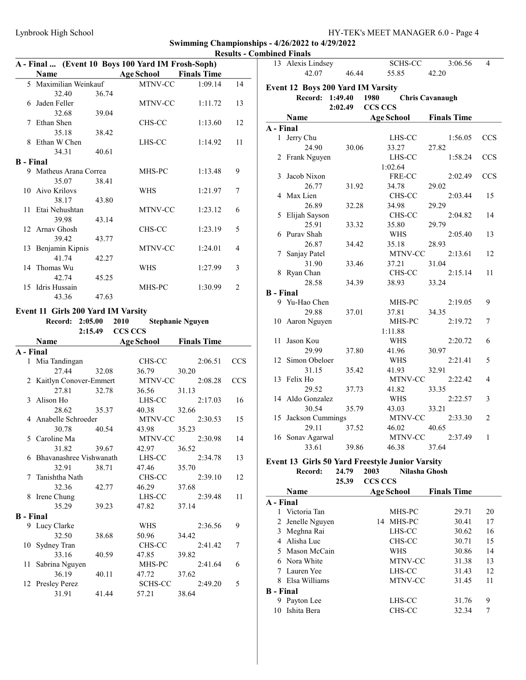Swimming Championships - 4/26/2022 to 4/29/2022 Results - Combined Finals

|                  | A - Final  (Event 10 Boys 100 Yard IM Frosh-Soph) |       |                   |                         |            |                  | 13 Alexis Lindsey                 |                 | SCHS-CC                                                          | 3:06.56                | 4                          |
|------------------|---------------------------------------------------|-------|-------------------|-------------------------|------------|------------------|-----------------------------------|-----------------|------------------------------------------------------------------|------------------------|----------------------------|
|                  | <b>Name</b>                                       |       | <b>Age School</b> | <b>Finals Time</b>      |            |                  | 42.07                             | 46.44           | 55.85                                                            | 42.20                  |                            |
|                  | 5 Maximilian Weinkauf                             |       | MTNV-CC           | 1:09.14                 | 14         |                  | Event 12 Boys 200 Yard IM Varsity |                 |                                                                  |                        |                            |
|                  | 32.40                                             | 36.74 |                   |                         |            |                  |                                   | Record: 1:49.40 | 1980                                                             | <b>Chris Cavanaugh</b> |                            |
|                  | 6 Jaden Feller                                    |       | MTNV-CC           | 1:11.72                 | 13         |                  |                                   | 2:02.49         | CCS CCS                                                          |                        |                            |
|                  | 32.68                                             | 39.04 |                   |                         |            |                  |                                   |                 |                                                                  |                        |                            |
|                  | 7 Ethan Shen                                      |       | CHS-CC            | 1:13.60                 | 12         |                  | Name                              |                 | <b>Age School</b>                                                | <b>Finals Time</b>     |                            |
|                  | 35.18                                             | 38.42 |                   |                         |            | A - Final        |                                   |                 |                                                                  |                        |                            |
|                  | 8 Ethan W Chen                                    |       | LHS-CC            | 1:14.92                 | 11         |                  | 1 Jerry Chu                       |                 | LHS-CC                                                           | 1:56.05                | <b>CCS</b>                 |
|                  | 34.31                                             | 40.61 |                   |                         |            |                  | 24.90                             | 30.06           | 33.27                                                            | 27.82                  |                            |
|                  | <b>B</b> - Final                                  |       |                   |                         |            |                  | 2 Frank Nguyen                    |                 | LHS-CC                                                           | 1:58.24                | CCS                        |
|                  | 9 Matheus Arana Correa                            |       | MHS-PC            | 1:13.48                 | 9          |                  |                                   |                 | 1:02.64                                                          |                        |                            |
|                  | 35.07                                             | 38.41 |                   |                         |            |                  | 3 Jacob Nixon                     |                 | FRE-CC                                                           | 2:02.49                | <b>CCS</b>                 |
|                  | 10 Aivo Krilovs                                   |       | <b>WHS</b>        | 1:21.97                 | 7          |                  | 26.77                             | 31.92           | 34.78                                                            | 29.02                  |                            |
|                  | 38.17                                             | 43.80 |                   |                         |            |                  | 4 Max Lien                        |                 | CHS-CC                                                           | 2:03.44                | 15                         |
|                  | 11 Etai Nehushtan                                 |       | MTNV-CC           | 1:23.12                 | 6          |                  | 26.89                             | 32.28           | 34.98                                                            | 29.29                  |                            |
|                  | 39.98                                             | 43.14 |                   |                         |            |                  | 5 Elijah Sayson                   |                 | CHS-CC                                                           | 2:04.82                | 14                         |
|                  | 12 Arnav Ghosh                                    |       | CHS-CC            | 1:23.19                 | 5          |                  | 25.91                             | 33.32           | 35.80                                                            | 29.79                  |                            |
|                  | 39.42                                             | 43.77 |                   |                         |            |                  | 6 Purav Shah                      |                 | <b>WHS</b>                                                       | 2:05.40                | 13                         |
|                  | 13 Benjamin Kipnis                                |       | MTNV-CC           | 1:24.01                 | 4          |                  | 26.87                             | 34.42           | 35.18                                                            | 28.93                  |                            |
|                  | 41.74                                             | 42.27 |                   |                         |            |                  | 7 Sanjay Patel                    |                 | MTNV-CC                                                          | 2:13.61                | 12                         |
|                  | 14 Thomas Wu                                      |       | <b>WHS</b>        | 1:27.99                 | 3          |                  | 31.90                             | 33.46           | 37.21                                                            | 31.04                  |                            |
|                  | 42.74                                             | 45.25 |                   |                         |            |                  | 8 Ryan Chan                       |                 | CHS-CC                                                           | 2:15.14                | 11                         |
|                  | 15 Idris Hussain                                  |       | MHS-PC            | 1:30.99                 | 2          |                  | 28.58                             | 34.39           | 38.93                                                            | 33.24                  |                            |
|                  | 43.36                                             | 47.63 |                   |                         |            | <b>B</b> - Final |                                   |                 |                                                                  |                        |                            |
|                  |                                                   |       |                   |                         |            |                  | 9 Yu-Hao Chen                     |                 | MHS-PC                                                           | 2:19.05                | 9                          |
|                  | Event 11 Girls 200 Yard IM Varsity                |       |                   |                         |            |                  | 29.88                             | 37.01           | 37.81                                                            | 34.35                  |                            |
|                  | Record: 2:05.00                                   |       | 2010              | <b>Stephanie Nguyen</b> |            |                  | 10 Aaron Nguyen                   |                 | MHS-PC                                                           | 2:19.72                | 7                          |
|                  | 2:15.49                                           |       | CCS CCS           |                         |            |                  |                                   |                 | 1:11.88                                                          |                        |                            |
|                  | Name                                              |       | <b>Age School</b> | <b>Finals Time</b>      |            |                  | 11 Jason Kou                      |                 | <b>WHS</b>                                                       | 2:20.72                | 6                          |
| A - Final        |                                                   |       |                   |                         |            |                  | 29.99                             | 37.80           | 41.96                                                            | 30.97                  |                            |
|                  | 1 Mia Tandingan                                   |       | CHS-CC            | 2:06.51                 | <b>CCS</b> |                  | 12 Simon Obeloer                  |                 | <b>WHS</b>                                                       | 2:21.41                | 5                          |
|                  | 27.44                                             | 32.08 | 36.79             | 30.20                   |            |                  | 31.15                             | 35.42           | 41.93                                                            | 32.91                  |                            |
|                  | 2 Kaitlyn Conover-Emmert                          |       | MTNV-CC           | 2:08.28                 | <b>CCS</b> |                  | 13 Felix Ho                       |                 | MTNV-CC                                                          | 2:22.42                | $\overline{4}$             |
|                  | 27.81                                             | 32.78 | 36.56             | 31.13                   |            |                  | 29.52                             | 37.73           | 41.82                                                            | 33.35                  |                            |
|                  | 3 Alison Ho                                       |       | LHS-CC            | 2:17.03                 | 16         |                  | 14 Aldo Gonzalez                  |                 | <b>WHS</b>                                                       | 2:22.57                | 3                          |
|                  | 28.62                                             | 35.37 | 40.38             | 32.66                   |            |                  | 30.54                             | 35.79           | 43.03                                                            | 33.21                  |                            |
|                  | 4 Anabelle Schroeder                              |       | MTNV-CC           | 2:30.53                 | 15         |                  | 15 Jackson Cummings               |                 | MTNV-CC                                                          | 2:33.30                | 2                          |
|                  | 30.78                                             | 40.54 | 43.98             | 35.23                   |            |                  | 29.11                             | 37.52           | 46.02                                                            | 40.65                  |                            |
|                  | 5 Caroline Ma                                     |       | MTNV-CC           | 2:30.98                 | 14         |                  | 16 Sonav Agarwal                  |                 | MTNV-CC                                                          | 2:37.49                | 1                          |
|                  | 31.82                                             | 39.67 | 42.97             | 36.52                   |            |                  | 33.61                             | 39.86           | 46.38                                                            | 37.64                  |                            |
|                  | 6 Bhavanashree Vishwanath                         |       | LHS-CC            | 2:34.78                 | 13         |                  |                                   |                 |                                                                  |                        |                            |
|                  | 32.91                                             | 38.71 | 47.46             | 35.70                   |            |                  |                                   |                 | Event 13 Girls 50 Yard Freestyle Junior Varsity                  |                        |                            |
|                  | 7 Tanishtha Nath                                  |       | CHS-CC            | 2:39.10                 | 12         |                  | Record:                           | 24.79           | 2003                                                             | Nilasha Ghosh          |                            |
|                  | 32.36                                             | 42.77 | 46.29             | 37.68                   |            |                  |                                   | 25.39           | CCS CCS                                                          |                        |                            |
|                  | 8 Irene Chung                                     |       | $LHS-CC$          |                         |            |                  | Name                              |                 | <b>Age School</b>                                                | <b>Finals Time</b>     |                            |
|                  |                                                   |       |                   | 2:39.48                 | 11         | A - Final        |                                   |                 |                                                                  |                        |                            |
|                  | 35.29                                             | 39.23 | 47.82             | 37.14                   |            |                  | 1 Victoria Tan                    |                 | MHS-PC                                                           | 29.71                  | 20                         |
| <b>B</b> - Final |                                                   |       |                   |                         |            |                  | 2 Jenelle Nguyen                  |                 | 14 MHS-PC                                                        | 30.41                  | 17                         |
|                  | 9 Lucy Clarke                                     |       | <b>WHS</b>        | 2:36.56                 | 9          |                  | 3 Meghna Rai                      |                 | LHS-CC                                                           | 30.62                  | 16                         |
|                  | 32.50                                             | 38.68 | 50.96             | 34.42                   |            |                  | 4 Alisha Luc                      |                 | CHS-CC                                                           | 30.71                  | 15                         |
|                  | 10 Sydney Tran                                    |       | CHS-CC            | 2:41.42                 | 7          | 5.               | Mason McCain                      |                 | WHS                                                              | 30.86                  | 14                         |
|                  | 33.16                                             | 40.59 | 47.85             | 39.82                   |            |                  | 6 Nora White                      |                 | MTNV-CC                                                          | 31.38                  | 13                         |
|                  | 11 Sabrina Nguyen                                 |       | MHS-PC            | 2:41.64                 | 6          |                  |                                   |                 | LHS-CC                                                           | 31.43                  | 12                         |
|                  |                                                   |       |                   |                         |            |                  |                                   |                 |                                                                  |                        |                            |
|                  | 36.19                                             | 40.11 | 47.72             | 37.62                   |            |                  | 7 Lauren Yee                      |                 |                                                                  |                        |                            |
|                  | 12 Presley Perez                                  |       | SCHS-CC           | 2:49.20                 | 5          |                  | 8 Elsa Williams                   |                 | MTNV-CC                                                          | 31.45                  |                            |
|                  | 31.91                                             | 41.44 | 57.21             | 38.64                   |            | <b>B</b> - Final |                                   |                 |                                                                  |                        |                            |
|                  |                                                   |       |                   |                         |            |                  | 9 Payton Lee<br>10 Ishita Bera    |                 | ${\rm LHS}\text{-}\mathrm{CC}$<br>${\rm CHS}\text{-}\mathrm{CC}$ | 31.76<br>32.34         | 11<br>9<br>$7\phantom{.0}$ |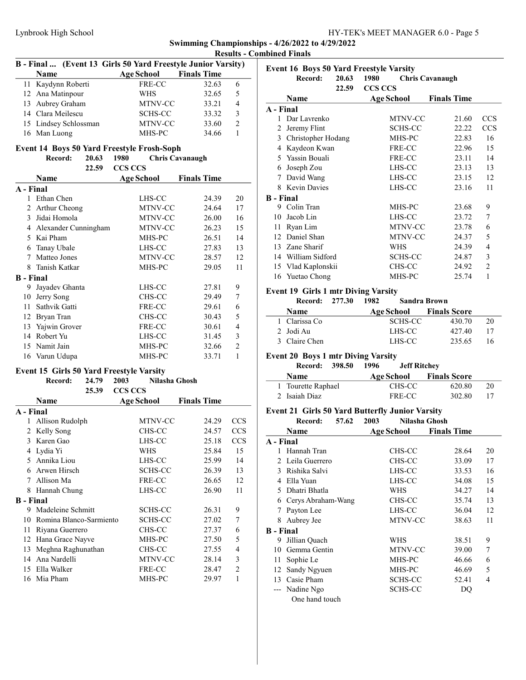|                  | B - Final  (Event 13 Girls 50 Yard Freestyle Junior Varsity)        |                                         |                        |                |
|------------------|---------------------------------------------------------------------|-----------------------------------------|------------------------|----------------|
|                  | <b>Name</b>                                                         | <b>Age School</b>                       | <b>Finals Time</b>     |                |
| 11               | Kaydynn Roberti                                                     | FRE-CC                                  | 32.63                  | 6              |
|                  | 12 Ana Matinpour                                                    | <b>WHS</b>                              | 32.65                  | 5              |
|                  | 13 Aubrey Graham                                                    | MTNV-CC                                 | 33.21                  | 4              |
|                  | 14 Clara Meilescu                                                   | SCHS-CC                                 | 33.32                  | 3              |
|                  | 15 Lindsey Schlossman                                               | MTNV-CC                                 | 33.60                  | $\overline{2}$ |
|                  | 16 Man Luong                                                        | MHS-PC                                  | 34.66                  | 1              |
|                  | <b>Event 14 Boys 50 Yard Freestyle Frosh-Soph</b>                   |                                         |                        |                |
|                  | Record:<br>20.63                                                    | 1980                                    | <b>Chris Cavanaugh</b> |                |
|                  | 22.59                                                               | <b>CCS CCS</b>                          |                        |                |
|                  | Name                                                                | <b>Age School</b>                       | <b>Finals Time</b>     |                |
| A - Final        |                                                                     |                                         |                        |                |
|                  | 1 Ethan Chen                                                        | LHS-CC                                  | 24.39                  | 20             |
|                  | 2 Arthur Cheong                                                     | MTNV-CC                                 | 24.64                  | 17             |
|                  | 3 Jidai Homola                                                      | MTNV-CC                                 | 26.00                  | 16             |
|                  | 4 Alexander Cunningham                                              | MTNV-CC                                 | 26.23                  | 15             |
|                  | 5 Kai Pham                                                          | MHS-PC                                  | 26.51                  | 14             |
|                  | 6 Tanay Ubale                                                       | LHS-CC                                  | 27.83                  | 13             |
| 7                | Matteo Jones                                                        | MTNV-CC                                 | 28.57                  | 12             |
|                  | 8 Tanish Katkar                                                     | MHS-PC                                  | 29.05                  | 11             |
| <b>B</b> - Final |                                                                     |                                         |                        |                |
| 9                | Jayadev Ghanta                                                      | LHS-CC                                  | 27.81                  | 9              |
|                  | 10 Jerry Song                                                       | CHS-CC                                  | 29.49                  | 7              |
| 11               | Sathvik Gatti                                                       | FRE-CC                                  | 29.61                  | 6              |
|                  | 12 Bryan Tran                                                       | CHS-CC                                  | 30.43                  | 5              |
|                  | 13 Yajwin Grover                                                    | FRE-CC                                  | 30.61                  | 4              |
|                  | 14 Robert Yu                                                        | LHS-CC                                  | 31.45                  | 3              |
| 15               | Namit Jain                                                          | MHS-PC                                  | 32.66                  | $\overline{2}$ |
|                  | 16 Varun Udupa                                                      | MHS-PC                                  | 33.71                  | 1              |
|                  |                                                                     |                                         |                        |                |
|                  | <b>Event 15 Girls 50 Yard Freestyle Varsity</b><br>Record:<br>24.79 |                                         |                        |                |
|                  | 25.39                                                               | Nilasha Ghosh<br>2003<br><b>CCS CCS</b> |                        |                |
|                  | Name                                                                | <b>Age School</b>                       | <b>Finals Time</b>     |                |
| A - Final        |                                                                     |                                         |                        |                |
| 1                | Allison Rudolph                                                     | MTNV-CC                                 | 24.29                  | <b>CCS</b>     |
| 2                | Kelly Song                                                          | CHS-CC                                  | 24.57                  | <b>CCS</b>     |
| 3                | Karen Gao                                                           | LHS-CC                                  | 25.18                  | <b>CCS</b>     |
|                  | 4 Lydia Yi                                                          | WHS                                     | 25.84                  | 15             |
|                  | 5 Annika Liou                                                       | LHS-CC                                  | 25.99                  | 14             |
|                  | 6 Arwen Hirsch                                                      | SCHS-CC                                 | 26.39                  | 13             |
| 7                | Allison Ma                                                          | FRE-CC                                  | 26.65                  | 12             |
|                  | 8 Hannah Chung                                                      | LHS-CC                                  | 26.90                  | 11             |
| <b>B</b> - Final |                                                                     |                                         |                        |                |
|                  | 9 Madeleine Schmitt                                                 | SCHS-CC                                 | 26.31                  | 9              |
|                  | 10 Romina Blanco-Sarmiento                                          | SCHS-CC                                 |                        | 7              |
|                  |                                                                     |                                         | 27.02                  | 6              |
| 11               | Riyana Guerrero                                                     | CHS-CC<br>MHS-PC                        | 27.37                  | 5              |
| 13               | 12 Hana Grace Nayve                                                 |                                         | 27.50<br>27.55         | 4              |
|                  | Meghna Raghunathan<br>14 Ana Nardelli                               | CHS-CC                                  |                        | 3              |
|                  | 15 Ella Walker                                                      | MTNV-CC                                 | 28.14                  | $\overline{c}$ |
|                  |                                                                     | FRE-CC                                  | 28.47                  | $\mathbf{1}$   |
|                  | 16 Mia Pham                                                         | MHS-PC                                  | 29.97                  |                |

|     |                | <b>Results - Combined Finals</b>                                |                               |                        |                |
|-----|----------------|-----------------------------------------------------------------|-------------------------------|------------------------|----------------|
|     | Varsity)       | Event 16 Boys 50 Yard Freestyle Varsity                         |                               |                        |                |
| me  |                | 20.63<br>Record:                                                | 1980                          | <b>Chris Cavanaugh</b> |                |
| .63 | 6              | 22.59                                                           | <b>CCS CCS</b>                |                        |                |
| .65 | 5              |                                                                 |                               |                        |                |
| .21 | $\overline{4}$ | Name                                                            | <b>Age School</b>             | <b>Finals Time</b>     |                |
| .32 | $\mathfrak{Z}$ | A - Final                                                       |                               |                        |                |
| .60 | $\overline{c}$ | 1 Dar Lavrenko                                                  | MTNV-CC                       | 21.60                  | <b>CCS</b>     |
| .66 | 1              | 2 Jeremy Flint                                                  | SCHS-CC                       | 22.22                  | <b>CCS</b>     |
|     |                | 3 Christopher Hodang                                            | MHS-PC                        | 22.83                  | 16             |
|     |                | 4 Kaydeon Kwan                                                  | FRE-CC                        | 22.96                  | 15             |
|     |                | 5 Yassin Bouali                                                 | FRE-CC                        | 23.11                  | 14             |
|     |                | 6 Joseph Zou                                                    | LHS-CC                        | 23.13                  | 13             |
| me  |                | 7 David Wang                                                    | LHS-CC                        | 23.15                  | 12             |
|     |                | 8 Kevin Davies                                                  | LHS-CC                        | 23.16                  | 11             |
| .39 | 20             | <b>B</b> - Final                                                |                               |                        |                |
| .64 | 17             | 9 Colin Tran                                                    | MHS-PC                        | 23.68                  | 9              |
| .00 | 16             | 10 Jacob Lin                                                    | LHS-CC                        | 23.72                  | 7              |
| .23 | 15             | 11 Ryan Lim                                                     | MTNV-CC                       | 23.78                  | 6              |
| .51 | 14             | 12 Daniel Shan                                                  | MTNV-CC                       | 24.37                  | 5              |
| .83 | 13             | 13 Zane Sharif                                                  | WHS                           | 24.39                  | $\overline{4}$ |
| .57 | 12             | 14 William Sidford                                              | SCHS-CC                       | 24.87                  | 3              |
| .05 | 11             | 15 Vlad Kaplonskii                                              | CHS-CC                        | 24.92                  | $\overline{2}$ |
|     |                | 16 Yuetao Chong                                                 | MHS-PC                        | 25.74                  | 1              |
| .81 | 9              |                                                                 |                               |                        |                |
| .49 | 7              | <b>Event 19 Girls 1 mtr Diving Varsity</b><br>Record:<br>277.30 | 1982<br><b>Sandra Brown</b>   |                        |                |
| .61 | 6              |                                                                 |                               |                        |                |
| .43 | 5              | Name                                                            | <b>Age School</b>             | <b>Finals Score</b>    |                |
| .61 | $\overline{4}$ | 1 Clarissa Co                                                   | SCHS-CC                       | 430.70                 | 20             |
| .45 | 3              | 2 Jodi Au                                                       | LHS-CC                        | 427.40                 | 17             |
| .66 | $\overline{2}$ | 3 Claire Chen                                                   | LHS-CC                        | 235.65                 | 16             |
| .71 | $\mathbf{1}$   | <b>Event 20 Boys 1 mtr Diving Varsity</b>                       |                               |                        |                |
|     |                | 398.50<br>Record:                                               | 1996<br><b>Jeff Ritchey</b>   |                        |                |
|     |                | Name                                                            | <b>Age School</b>             | <b>Finals Score</b>    |                |
|     |                | 1 Tourette Raphael                                              | CHS-CC                        | 620.80                 | 20             |
|     |                | 2 Isaiah Diaz                                                   | FRE-CC                        | 302.80                 | 17             |
| me  |                |                                                                 |                               |                        |                |
|     |                | Event 21 Girls 50 Yard Butterfly Junior Varsity                 |                               |                        |                |
| .29 | <b>CCS</b>     | 57.62<br>Record:                                                | 2003<br>Nilasha Ghosh         |                        |                |
| .57 | CCS            | <b>Name</b>                                                     | <b>Age School Finals Time</b> |                        |                |
| .18 | <b>CCS</b>     | A - Final                                                       |                               |                        |                |
| .84 | 15             | 1 Hannah Tran                                                   | CHS-CC                        | 28.64                  | 20             |
| 99  | 14             | Leila Guerrero<br>2                                             | CHS-CC                        | 33.09                  | 17             |
| .39 | 13             | 3 Rishika Salvi                                                 | LHS-CC                        | 33.53                  | 16             |
| .65 | 12             | 4 Ella Yuan                                                     | LHS-CC                        | 34.08                  | 15             |
| .90 | $11\,$         | 5 Dhatri Bhatla                                                 | WHS                           | 34.27                  | 14             |
|     |                | 6 Cerys Abraham-Wang                                            | CHS-CC                        | 35.74                  | 13             |
| .31 | 9              | Payton Lee<br>7                                                 | LHS-CC                        | 36.04                  | 12             |
| .02 | 7              | Aubrey Jee<br>8                                                 | MTNV-CC                       | 38.63                  | 11             |
| .37 | 6              | <b>B</b> - Final                                                |                               |                        |                |
| .50 | 5              | 9 Jillian Quach                                                 | WHS                           | 38.51                  | 9              |
| .55 | 4              | 10 Gemma Gentin                                                 | MTNV-CC                       | 39.00                  | 7              |
| .14 | 3              | Sophie Le<br>11                                                 | MHS-PC                        | 46.66                  | 6              |
| .47 | $\overline{c}$ | Sandy Ngyuen<br>12                                              | MHS-PC                        | 46.69                  | 5              |
| .97 | 1              | 13 Casie Pham                                                   | SCHS-CC                       | 52.41                  | 4              |
|     |                | --- Nadine Ngo                                                  | SCHS-CC                       | DQ                     |                |
|     |                | One hand touch                                                  |                               |                        |                |
|     |                |                                                                 |                               |                        |                |
|     |                |                                                                 |                               |                        |                |
|     |                |                                                                 |                               |                        |                |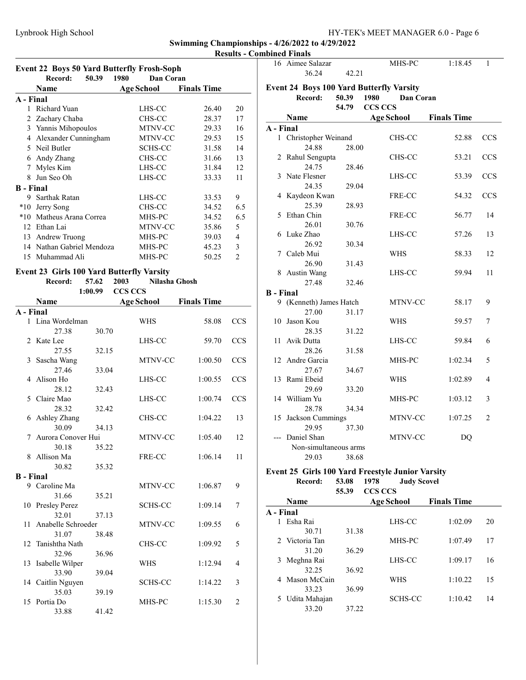Results - Combined Finals

|                  | <b>Event 22 Boys 50 Yard Butterfly Frosh-Soph</b> |                   |                    |                |  |  |  |
|------------------|---------------------------------------------------|-------------------|--------------------|----------------|--|--|--|
|                  | 50.39<br>Record:                                  | 1980<br>Dan Coran |                    |                |  |  |  |
|                  | Name                                              | Age School        | <b>Finals Time</b> |                |  |  |  |
| A - Final        |                                                   |                   |                    |                |  |  |  |
|                  | Richard Yuan                                      | LHS-CC            | 26.40              | 20             |  |  |  |
| 2                | Zachary Chaba                                     | CHS-CC            | 28.37              | 17             |  |  |  |
| 3                | Yannis Mihopoulos                                 | <b>MTNV-CC</b>    | 29.33              | 16             |  |  |  |
| 4                | Alexander Cunningham                              | <b>MTNV-CC</b>    | 29.53              | 15             |  |  |  |
|                  | 5 Neil Butler                                     | SCHS-CC           | 31.58              | 14             |  |  |  |
| 6                | Andy Zhang                                        | CHS-CC            | 31.66              | 13             |  |  |  |
| 7                | Myles Kim                                         | LHS-CC            | 31.84              | 12             |  |  |  |
| 8                | Jun Seo Oh                                        | LHS-CC            | 33.33              | 11             |  |  |  |
| <b>B</b> - Final |                                                   |                   |                    |                |  |  |  |
| 9                | Sarthak Ratan                                     | LHS-CC            | 33.53              | 9              |  |  |  |
| $*10$            | Jerry Song                                        | CHS-CC            | 34.52              | 6.5            |  |  |  |
| $*10$            | Matheus Arana Correa                              | MHS-PC            | 34.52              | 6.5            |  |  |  |
| 12               | Ethan Lai                                         | MTNV-CC           | 35.86              | 5              |  |  |  |
| 13               | Andrew Truong                                     | MHS-PC            | 39.03              | 4              |  |  |  |
| 14               | Nathan Gabriel Mendoza                            | MHS-PC            | 45.23              | 3              |  |  |  |
| 15               | Muhammad Ali                                      | MHS-PC            | 50.25              | $\mathfrak{D}$ |  |  |  |

### Event 23 Girls 100 Yard Butterfly Varsity

Record: 57.62 2003 Nilasha Ghosh

|                  |                      | 1:00.99 | <b>CCS CCS</b>    |                    |                |
|------------------|----------------------|---------|-------------------|--------------------|----------------|
|                  | Name                 |         | <b>Age School</b> | <b>Finals Time</b> |                |
| A - Final        |                      |         |                   |                    |                |
|                  | 1 Lina Wordelman     |         | WHS               | 58.08              | <b>CCS</b>     |
|                  | 27.38                | 30.70   |                   |                    |                |
|                  | 2 Kate Lee           |         | LHS-CC            | 59.70              | <b>CCS</b>     |
|                  | 27.55                | 32.15   |                   |                    |                |
| 3                | Sascha Wang          |         | MTNV-CC           | 1:00.50            | <b>CCS</b>     |
|                  | 27.46                | 33.04   |                   |                    |                |
| 4                | Alison Ho            |         | LHS-CC            | 1:00.55            | <b>CCS</b>     |
|                  | 28.12                | 32.43   |                   |                    |                |
| 5                | Claire Mao           |         | LHS-CC            | 1:00.74            | <b>CCS</b>     |
|                  | 28.32                | 32.42   |                   |                    |                |
|                  | 6 Ashley Zhang       |         | CHS-CC            | 1:04.22            | 13             |
|                  | 30.09                | 34.13   |                   |                    |                |
| 7                | Aurora Conover Hui   |         | MTNV-CC           | 1:05.40            | 12             |
|                  | 30.18                | 35.22   |                   |                    |                |
| 8                | Allison Ma           |         | FRE-CC            | 1:06.14            | 11             |
|                  | 30.82                | 35.32   |                   |                    |                |
| <b>B</b> - Final |                      |         |                   |                    |                |
|                  | 9 Caroline Ma        |         | MTNV-CC           | 1:06.87            | 9              |
|                  | 31.66                | 35.21   |                   |                    |                |
| 10               | <b>Presley Perez</b> |         | <b>SCHS-CC</b>    | 1:09.14            | 7              |
|                  | 32.01                | 37.13   |                   |                    |                |
| 11               | Anabelle Schroeder   |         | MTNV-CC           | 1:09.55            | 6              |
|                  | 31.07                | 38.48   |                   |                    |                |
|                  | 12 Tanishtha Nath    |         | CHS-CC            | 1:09.92            | 5              |
|                  | 32.96                | 36.96   |                   |                    |                |
|                  | 13 Isabelle Wilper   |         | <b>WHS</b>        | 1:12.94            | 4              |
|                  | 33.90                | 39.04   |                   | 1:14.22            | 3              |
|                  | 14 Caitlin Nguyen    |         | SCHS-CC           |                    |                |
| 15               | 35.03<br>Portia Do   | 39.19   | MHS-PC            | 1:15.30            | $\overline{2}$ |
|                  | 33.88                | 41.42   |                   |                    |                |
|                  |                      |         |                   |                    |                |

|                  | 16 Aimee Salazar                                |       |                | MHS-PC            | 1:18.45            | 1          |
|------------------|-------------------------------------------------|-------|----------------|-------------------|--------------------|------------|
|                  | 36.24                                           | 42.21 |                |                   |                    |            |
|                  | <b>Event 24 Boys 100 Yard Butterfly Varsity</b> |       |                |                   |                    |            |
|                  | Record:                                         | 50.39 | 1980           | Dan Coran         |                    |            |
|                  |                                                 | 54.79 | <b>CCS CCS</b> |                   |                    |            |
|                  | Name                                            |       |                | <b>Age School</b> | <b>Finals Time</b> |            |
| A - Final        |                                                 |       |                |                   |                    |            |
|                  | 1 Christopher Weinand                           |       |                | CHS-CC            | 52.88              | <b>CCS</b> |
|                  | 24.88                                           | 28.00 |                |                   |                    |            |
|                  | 2 Rahul Sengupta                                |       |                | CHS-CC            | 53.21              | <b>CCS</b> |
|                  | 24.75                                           | 28.46 |                |                   |                    |            |
|                  | 3 Nate Flesner                                  |       |                | LHS-CC            | 53.39              | <b>CCS</b> |
|                  | 24.35                                           | 29.04 |                |                   |                    |            |
| 4                | Kaydeon Kwan                                    |       |                | FRE-CC            | 54.32              | <b>CCS</b> |
|                  | 25.39                                           | 28.93 |                |                   |                    |            |
| 5                | Ethan Chin                                      |       |                | FRE-CC            | 56.77              | 14         |
|                  | 26.01                                           | 30.76 |                |                   |                    |            |
|                  | 6 Luke Zhao                                     |       |                | LHS-CC            | 57.26              | 13         |
|                  | 26.92                                           | 30.34 |                |                   |                    |            |
|                  | 7 Caleb Mui                                     |       |                | WHS               | 58.33              | 12         |
|                  | 26.90                                           | 31.43 |                |                   |                    |            |
|                  | 8 Austin Wang                                   |       |                | LHS-CC            | 59.94              | 11         |
|                  | 27.48                                           | 32.46 |                |                   |                    |            |
| <b>B</b> - Final |                                                 |       |                |                   |                    |            |
|                  | 9 (Kenneth) James Hatch                         |       |                | MTNV-CC           | 58.17              | 9          |
|                  | 27.00                                           | 31.17 |                |                   |                    |            |
|                  | 10 Jason Kou                                    |       |                | WHS               | 59.57              | 7          |
|                  | 28.35                                           | 31.22 |                |                   |                    |            |
| 11               | Avik Dutta                                      |       |                | LHS-CC            | 59.84              | 6          |
|                  | 28.26                                           | 31.58 |                |                   |                    |            |
|                  | 12 Andre Garcia                                 |       |                | MHS-PC            | 1:02.34            | 5          |
|                  | 27.67                                           | 34.67 |                |                   |                    |            |
|                  | 13 Rami Ebeid                                   |       |                | WHS               | 1:02.89            | 4          |
|                  | 29.69                                           | 33.20 |                |                   |                    |            |
|                  | 14 William Yu                                   |       |                | MHS-PC            | 1:03.12            | 3          |
|                  | 28.78                                           | 34.34 |                |                   |                    |            |
|                  | 15 Jackson Cummings                             |       |                | MTNV-CC           | 1:07.25            | 2          |
|                  | 29.95                                           | 37.30 |                |                   |                    |            |
|                  | Daniel Shan                                     |       |                | MTNV-CC           | DO                 |            |
|                  | Non-simultaneous arms                           |       |                |                   |                    |            |
|                  | 29.03                                           | 38.68 |                |                   |                    |            |

### Event 25 Girls 100 Yard Freestyle Junior Varsity<br>Record: 53.08 1978 Judy Scovel 53.08 1978 55.39 CCS CCS

|           | Name            |       | <b>Age School</b> | <b>Finals Time</b> |    |
|-----------|-----------------|-------|-------------------|--------------------|----|
| A - Final |                 |       |                   |                    |    |
|           | Esha Rai        |       | LHS-CC            | 1:02.09            | 20 |
|           | 30.71           | 31.38 |                   |                    |    |
|           | 2. Victoria Tan |       | MHS-PC            | 1:07.49            | 17 |
|           | 31.20           | 36.29 |                   |                    |    |
| 3         | Meghna Rai      |       | LHS-CC            | 1:09.17            | 16 |
|           | 32.25           | 36.92 |                   |                    |    |
| 4         | Mason McCain    |       | WHS               | 1:10.22            | 15 |
|           | 33.23           | 36.99 |                   |                    |    |
|           | 5 Udita Mahajan |       | <b>SCHS-CC</b>    | 1:10.42            | 14 |
|           | 33.20           | 37.22 |                   |                    |    |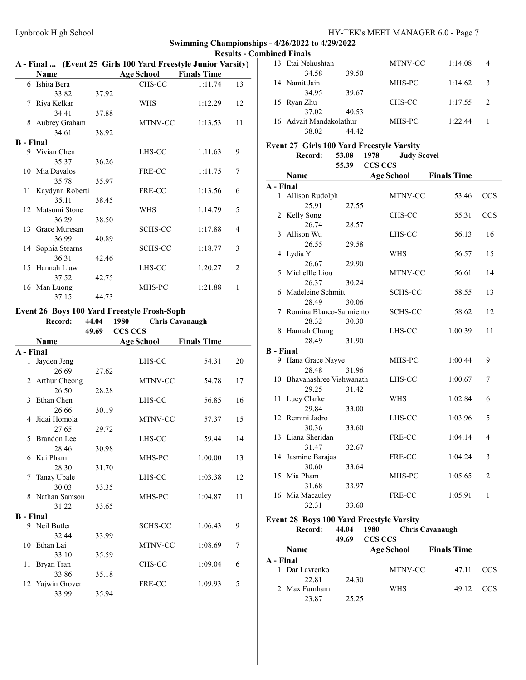|                  | A - Final  (Event 25 Girls 100 Yard Freestyle Junior Varsity) |       |                   |                    |                |
|------------------|---------------------------------------------------------------|-------|-------------------|--------------------|----------------|
|                  | <b>Name</b>                                                   |       | <b>Age School</b> | <b>Finals Time</b> |                |
|                  | 6 Ishita Bera                                                 |       | CHS-CC            | 1:11.74            | 13             |
|                  | 33.82                                                         | 37.92 |                   |                    |                |
| 7                | Riya Kelkar                                                   |       | <b>WHS</b>        | 1:12.29            | 12             |
|                  | 34.41                                                         | 37.88 |                   |                    |                |
| 8                | Aubrey Graham                                                 |       | MTNV-CC           | 1:13.53            | 11             |
|                  | 34.61                                                         | 38.92 |                   |                    |                |
| <b>B</b> - Final |                                                               |       |                   |                    |                |
|                  | 9 Vivian Chen                                                 |       | LHS-CC            | 1:11.63            | 9              |
|                  | 35.37                                                         | 36.26 |                   |                    |                |
|                  | 10 Mia Davalos                                                |       | FRE-CC            | 1:11.75            | 7              |
|                  | 35.78                                                         | 35.97 |                   |                    |                |
| 11               | Kaydynn Roberti                                               |       | FRE-CC            | 1:13.56            | 6              |
|                  | 35.11                                                         | 38.45 |                   |                    |                |
|                  | 12 Matsumi Stone                                              |       | <b>WHS</b>        | 1:14.79            | 5              |
|                  | 36.29                                                         | 38.50 |                   |                    |                |
|                  | 13 Grace Muresan                                              |       | <b>SCHS-CC</b>    | 1:17.88            | 4              |
|                  | 36.99                                                         | 40.89 |                   |                    |                |
|                  | 14 Sophia Stearns                                             |       | <b>SCHS-CC</b>    | 1:18.77            | 3              |
|                  | 36.31                                                         | 42.46 |                   |                    |                |
| 15               | Hannah Liaw                                                   |       | LHS-CC            | 1:20.27            | $\overline{2}$ |
|                  | 37.52                                                         | 42.75 |                   |                    |                |
| 16               | Man Luong                                                     |       | MHS-PC            | 1:21.88            | 1              |
|                  | 37.15                                                         | 44.73 |                   |                    |                |

# Event 26 Boys 100 Yard Freestyle Frosh-Soph Record: 44.04 1980 Chris Cavanaugh

|                  |                  | 49.69 | <b>CCS CCS</b>    |                    |    |
|------------------|------------------|-------|-------------------|--------------------|----|
|                  | <b>Name</b>      |       | <b>Age School</b> | <b>Finals Time</b> |    |
| A - Final        |                  |       |                   |                    |    |
| 1                | Jayden Jeng      |       | LHS-CC            | 54.31              | 20 |
|                  | 26.69            | 27.62 |                   |                    |    |
| $2^{\circ}$      | Arthur Cheong    |       | MTNV-CC           | 54.78              | 17 |
|                  | 26.50            | 28.28 |                   |                    |    |
| 3                | Ethan Chen       |       | LHS-CC            | 56.85              | 16 |
|                  | 26.66            | 30.19 |                   |                    |    |
| 4                | Jidai Homola     |       | MTNV-CC           | 57.37              | 15 |
|                  | 27.65            | 29.72 |                   |                    |    |
| 5                | Brandon Lee      |       | LHS-CC            | 59.44              | 14 |
|                  | 28.46            | 30.98 |                   |                    |    |
| 6                | Kai Pham         |       | MHS-PC            | 1:00.00            | 13 |
|                  | 28.30            | 31.70 |                   |                    |    |
| 7                | Tanay Ubale      |       | LHS-CC            | 1:03.38            | 12 |
|                  | 30.03            | 33.35 |                   |                    |    |
| 8                | Nathan Samson    |       | MHS-PC            | 1:04.87            | 11 |
|                  | 31.22            | 33.65 |                   |                    |    |
| <b>B</b> - Final |                  |       |                   |                    |    |
| 9                | Neil Butler      |       | <b>SCHS-CC</b>    | 1:06.43            | 9  |
|                  | 32.44            | 33.99 |                   |                    |    |
| 10               | Ethan Lai        |       | MTNV-CC           | 1:08.69            | 7  |
|                  | 33.10            | 35.59 |                   |                    |    |
| 11               | Bryan Tran       |       | CHS-CC            | 1:09.04            | 6  |
|                  | 33.86            | 35.18 |                   |                    |    |
|                  | 12 Yajwin Grover |       | FRE-CC            | 1:09.93            | 5  |
|                  | 33.99            | 35.94 |                   |                    |    |

| 13 Etai Nehushtan       |       | MTNV-CC | 1:14.08 | 4             |
|-------------------------|-------|---------|---------|---------------|
| 34.58                   | 39.50 |         |         |               |
| 14 Namit Jain           |       | MHS-PC  | 1:14.62 | 3             |
| 34.95                   | 39.67 |         |         |               |
| 15 Ryan Zhu             |       | CHS-CC  | 1:17.55 | $\mathcal{L}$ |
| 37.02                   | 40.53 |         |         |               |
| 16 Advait Mandakolathur |       | MHS-PC  | 1:22.44 |               |
| 38.02                   | 44 AY |         |         |               |
|                         |       |         |         |               |

# Event 27 Girls 100 Yard Freestyle Varsity<br>Record: 53.08 1978 Judy Scovel

|                  | Record:                 | 53.08 | 1978    | <b>Judy Scovel</b> |                    |                |
|------------------|-------------------------|-------|---------|--------------------|--------------------|----------------|
|                  |                         | 55.39 | CCS CCS |                    |                    |                |
|                  | Name                    |       |         | <b>Age School</b>  | <b>Finals Time</b> |                |
| A - Final        |                         |       |         |                    |                    |                |
|                  | 1 Allison Rudolph       |       |         | MTNV-CC            | 53.46              | <b>CCS</b>     |
|                  | 25.91                   | 27.55 |         |                    |                    |                |
| 2                | Kelly Song              |       |         | CHS-CC             | 55.31              | CCS            |
|                  | 26.74                   | 28.57 |         |                    |                    |                |
| 3                | Allison Wu              |       |         | LHS-CC             | 56.13              | 16             |
|                  | 26.55                   | 29.58 |         |                    |                    |                |
| 4                | Lydia Yi                |       |         | WHS                | 56.57              | 15             |
|                  | 26.67                   | 29.90 |         |                    |                    |                |
| 5                | Michellle Liou          |       |         | MTNV-CC            | 56.61              | 14             |
|                  | 26.37                   | 30.24 |         |                    |                    |                |
| 6                | Madeleine Schmitt       |       |         | <b>SCHS-CC</b>     | 58.55              | 13             |
|                  | 28.49                   | 30.06 |         |                    |                    |                |
| 7                | Romina Blanco-Sarmiento |       |         | <b>SCHS-CC</b>     | 58.62              | 12             |
|                  | 28.32                   | 30.30 |         |                    |                    |                |
| 8                | Hannah Chung            |       |         | LHS-CC             | 1:00.39            | 11             |
|                  | 28.49                   | 31.90 |         |                    |                    |                |
| <b>B</b> - Final |                         |       |         |                    |                    |                |
|                  | 9 Hana Grace Nayve      |       |         | MHS-PC             | 1:00.44            | 9              |
|                  | 28.48                   | 31.96 |         |                    |                    |                |
| 10               | Bhavanashree Vishwanath |       |         | LHS-CC             | 1:00.67            | 7              |
|                  | 29.25                   | 31.42 |         |                    |                    |                |
| 11               | Lucy Clarke             |       |         | WHS                | 1:02.84            | 6              |
|                  | 29.84                   | 33.00 |         |                    |                    |                |
| 12               | Remini Jadro            |       |         | LHS-CC             | 1:03.96            | 5              |
|                  | 30.36                   | 33.60 |         |                    |                    |                |
|                  | 13 Liana Sheridan       |       |         | FRE-CC             | 1:04.14            | 4              |
|                  | 31.47                   | 32.67 |         |                    |                    |                |
|                  | 14 Jasmine Barajas      |       |         | FRE-CC             | 1:04.24            | 3              |
|                  | 30.60                   | 33.64 |         |                    |                    |                |
|                  | 15 Mia Pham             |       |         | MHS-PC             | 1:05.65            | $\overline{2}$ |
|                  | 31.68                   | 33.97 |         |                    |                    |                |
|                  | 16 Mia Macauley         |       |         | FRE-CC             | 1:05.91            | 1              |
|                  | 32.31                   | 33.60 |         |                    |                    |                |

### Event 28 Boys 100 Yard Freestyle Varsity

|           | Record:        | 44.04<br>49.69 | 1980<br><b>CCS CCS</b> | Chris Cavanaugh |                        |            |
|-----------|----------------|----------------|------------------------|-----------------|------------------------|------------|
|           | <b>Name</b>    |                |                        |                 | Age School Finals Time |            |
| A - Final |                |                |                        |                 |                        |            |
|           | 1 Dar Lavrenko |                |                        | MTNV-CC         | 47.11                  | <b>CCS</b> |
|           | 22.81          | 24.30          |                        |                 |                        |            |
|           | 2 Max Farnham  |                | <b>WHS</b>             |                 | 49.12                  | – CCS      |
|           | 23.87          | 25.25          |                        |                 |                        |            |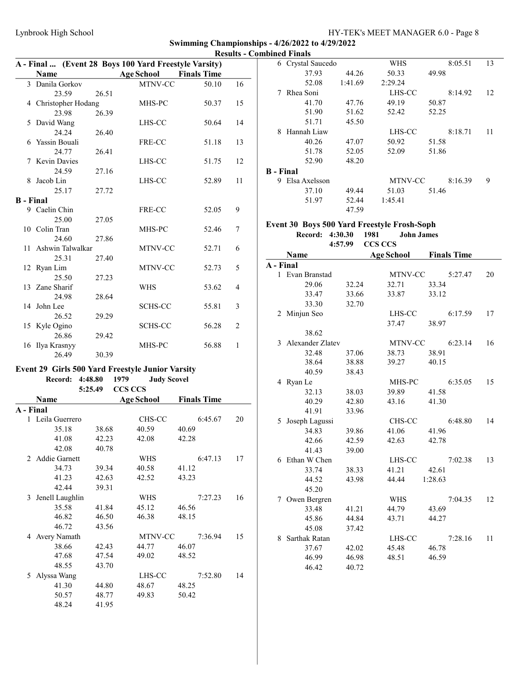|                  | A - Final  (Event 28 Boys 100 Yard Freestyle Varsity)   |                |                            |                    |                |
|------------------|---------------------------------------------------------|----------------|----------------------------|--------------------|----------------|
|                  | <b>Name</b>                                             |                | <b>Age School</b>          | <b>Finals Time</b> |                |
|                  | 3 Danila Gorkov                                         |                | MTNV-CC                    | 50.10              | 16             |
|                  | 23.59                                                   | 26.51          |                            |                    |                |
|                  | 4 Christopher Hodang                                    |                | MHS-PC                     | 50.37              | 15             |
|                  | 23.98                                                   | 26.39          |                            |                    |                |
| 5                | David Wang                                              |                | LHS-CC                     | 50.64              | 14             |
|                  | 24.24                                                   | 26.40          |                            |                    |                |
|                  | 6 Yassin Bouali                                         |                | FRE-CC                     | 51.18              | 13             |
|                  | 24.77                                                   | 26.41          |                            |                    |                |
| 7                | <b>Kevin Davies</b>                                     |                | LHS-CC                     | 51.75              | 12             |
|                  | 24.59                                                   | 27.16          |                            |                    |                |
| 8                | Jacob Lin                                               |                | LHS-CC                     | 52.89              | 11             |
|                  | 25.17                                                   | 27.72          |                            |                    |                |
| <b>B</b> - Final |                                                         |                |                            |                    |                |
|                  | 9 Caelin Chin                                           |                | FRE-CC                     | 52.05              | 9              |
|                  | 25.00                                                   | 27.05          |                            |                    |                |
|                  | 10 Colin Tran                                           |                | MHS-PC                     | 52.46              | 7              |
|                  | 24.60                                                   | 27.86          |                            |                    |                |
|                  | 11 Ashwin Talwalkar                                     |                | MTNV-CC                    | 52.71              | 6              |
|                  | 25.31                                                   | 27.40          |                            |                    |                |
|                  | 12 Ryan Lim                                             |                | MTNV-CC                    | 52.73              | 5              |
|                  | 25.50                                                   | 27.23          |                            |                    |                |
|                  | 13 Zane Sharif                                          |                | WHS                        | 53.62              | 4              |
|                  | 24.98                                                   | 28.64          |                            |                    |                |
|                  | 14 John Lee                                             |                | SCHS-CC                    | 55.81              | 3              |
|                  | 26.52                                                   | 29.29          |                            |                    |                |
|                  | 15 Kyle Ogino                                           |                | <b>SCHS-CC</b>             | 56.28              | $\overline{2}$ |
|                  | 26.86                                                   | 29.42          |                            |                    |                |
|                  | 16 Ilya Krasnyy                                         |                | MHS-PC                     | 56.88              | 1              |
|                  | 26.49                                                   | 30.39          |                            |                    |                |
|                  | <b>Event 29 Girls 500 Yard Freestyle Junior Varsity</b> |                |                            |                    |                |
|                  | Record: 4:48.80                                         |                | 1979<br><b>Judy Scovel</b> |                    |                |
|                  | 5:25.49                                                 |                | <b>CCS CCS</b>             |                    |                |
|                  | Name                                                    |                | <b>Age School</b>          | <b>Finals Time</b> |                |
| A - Final        |                                                         |                |                            |                    |                |
|                  | 1 Leila Guerrero                                        |                | CHS-CC                     | 6:45.67            | 20             |
|                  | 35.18                                                   | 38.68          | 40.59                      | 40.69              |                |
|                  | 41.08                                                   | 42.23          | 42.08                      | 42.28              |                |
|                  | 42.08                                                   | 40.78          |                            |                    |                |
|                  | 2 Addie Garnett                                         |                | WHS                        | 6:47.13            | 17             |
|                  | 34.73                                                   | 39.34          | 40.58                      | 41.12              |                |
|                  | 41.23                                                   | 42.63          | 42.52                      | 43.23              |                |
|                  | 42.44                                                   | 39.31          |                            |                    |                |
| 3                | Jenell Laughlin                                         |                | WHS                        | 7:27.23            | 16             |
|                  | 35.58                                                   |                |                            | 46.56              |                |
|                  | 46.82                                                   | 41.84<br>46.50 | 45.12<br>46.38             | 48.15              |                |
|                  | 46.72                                                   | 43.56          |                            |                    |                |
|                  |                                                         |                |                            |                    |                |
|                  | 4 Avery Namath<br>38.66                                 |                | MTNV-CC                    | 7:36.94<br>46.07   | 15             |
|                  |                                                         | 42.43          | 44.77                      |                    |                |
|                  | 47.68                                                   | 47.54          | 49.02                      | 48.52              |                |
|                  | 48.55                                                   | 43.70          |                            |                    |                |
| 5                | Alyssa Wang                                             |                | LHS-CC                     | 7:52.80            | 14             |
|                  | 41.30                                                   | 44.80          | 48.67                      | 48.25              |                |
|                  | 50.57                                                   | 48.77          | 49.83                      | 50.42              |                |
|                  | 48.24                                                   | 41.95          |                            |                    |                |

|           | 6 Crystal Saucedo |         | WHS     | 8:05.51 | 13 |
|-----------|-------------------|---------|---------|---------|----|
|           | 37.93             | 44.26   | 50.33   | 49.98   |    |
|           | 52.08             | 1:41.69 | 2:29.24 |         |    |
| 7         | Rhea Soni         |         | LHS-CC  | 8:14.92 | 12 |
|           | 41.70             | 47.76   | 49.19   | 50.87   |    |
|           | 51.90             | 51.62   | 52.42   | 52.25   |    |
|           | 51.71             | 45.50   |         |         |    |
| 8         | Hannah Liaw       |         | LHS-CC  | 8:18.71 | 11 |
|           | 40.26             | 47.07   | 50.92   | 51.58   |    |
|           | 51.78             | 52.05   | 52.09   | 51.86   |    |
|           | 52.90             | 48.20   |         |         |    |
| B - Final |                   |         |         |         |    |
| 9         | Elsa Axelsson     |         | MTNV-CC | 8:16.39 | 9  |
|           | 37.10             | 49.44   | 51.03   | 51.46   |    |
|           | 51.97             | 52.44   | 1:45.41 |         |    |
|           |                   | 47.59   |         |         |    |
|           |                   |         |         |         |    |

# Event 30 Boys 500 Yard Freestyle Frosh-Soph

Record: 4:30.30 1981 John James 4:57.99 CCS CCS

|           | Name                 |       | <b>Age School</b> | <b>Finals Time</b> |
|-----------|----------------------|-------|-------------------|--------------------|
| A - Final |                      |       |                   |                    |
|           | 1 Evan Branstad      |       | MTNV-CC           | 5:27.47<br>20      |
|           | 29.06                | 32.24 | 32.71             | 33.34              |
|           | 33.47                | 33.66 | 33.87             | 33.12              |
|           | 33.30                | 32.70 |                   |                    |
|           | 2 Minjun Seo         |       | LHS-CC            | 6:17.59<br>17      |
|           |                      |       | 37.47             | 38.97              |
|           | 38.62                |       |                   |                    |
|           | 3 Alexander Zlatev   |       | MTNV-CC           | 6:23.14<br>16      |
|           | 32.48                | 37.06 | 38.73             | 38.91              |
|           | 38.64                | 38.88 | 39.27             | 40.15              |
|           | 40.59                | 38.43 |                   |                    |
|           | 4 Ryan Le            |       | MHS-PC            | 6:35.05<br>15      |
|           | 32.13                | 38.03 | 39.89             | 41.58              |
|           | 40.29                | 42.80 | 43.16             | 41.30              |
|           | 41.91                | 33.96 |                   |                    |
| 5         | Joseph Lagussi       |       | CHS-CC            | 6:48.80<br>14      |
|           | 34.83                | 39.86 | 41.06             | 41.96              |
|           | 42.66                | 42.59 | 42.63             | 42.78              |
|           | 41.43                | 39.00 |                   |                    |
| 6         | Ethan W Chen         |       | LHS-CC            | 7:02.38<br>13      |
|           | 33.74                | 38.33 | 41.21             | 42.61              |
|           | 44.52                | 43.98 | 44.44             | 1:28.63            |
|           | 45.20                |       |                   |                    |
|           | 7 Owen Bergren       |       | <b>WHS</b>        | 7:04.35<br>12      |
|           | 33.48                | 41.21 | 44.79             | 43.69              |
|           | 45.86                | 44.84 | 43.71             | 44.27              |
|           | 45.08                | 37.42 |                   |                    |
| 8         | <b>Sarthak Ratan</b> |       | LHS-CC            | 7:28.16<br>11      |
|           | 37.67                | 42.02 | 45.48             | 46.78              |
|           | 46.99                | 46.98 | 48.51             | 46.59              |
|           | 46.42                | 40.72 |                   |                    |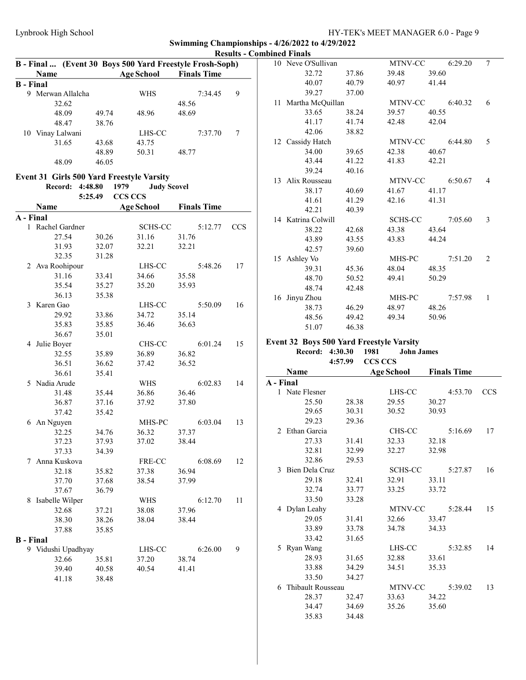|                  | B - Final  (Event 30 Boys 500 Yard Freestyle Frosh-Soph) |         |                            |                    |            |           | 10 Neve O'Sullivan  |                | MTNV-CC                                  | 6:29.20            | $7\phantom{.0}$ |
|------------------|----------------------------------------------------------|---------|----------------------------|--------------------|------------|-----------|---------------------|----------------|------------------------------------------|--------------------|-----------------|
|                  | Name                                                     |         | <b>Age School</b>          | <b>Finals Time</b> |            |           | 32.72               | 37.86          | 39.48                                    | 39.60              |                 |
| <b>B</b> - Final |                                                          |         |                            |                    |            |           | 40.07               | 40.79          | 40.97                                    | 41.44              |                 |
|                  | 9 Merwan Allalcha                                        |         | WHS                        | 7:34.45            | 9          |           | 39.27               | 37.00          |                                          |                    |                 |
|                  | 32.62                                                    |         |                            | 48.56              |            |           | 11 Martha McQuillan |                | MTNV-CC                                  | 6:40.32            | 6               |
|                  | 48.09                                                    | 49.74   | 48.96                      | 48.69              |            |           | 33.65               | 38.24          | 39.57                                    | 40.55              |                 |
|                  | 48.47                                                    | 38.76   |                            |                    |            |           | 41.17               | 41.74          | 42.48                                    | 42.04              |                 |
|                  | 10 Vinay Lalwani                                         |         | LHS-CC                     | 7:37.70            | 7          |           | 42.06               | 38.82          |                                          |                    |                 |
|                  | 31.65                                                    | 43.68   | 43.75                      |                    |            |           | 12 Cassidy Hatch    |                | MTNV-CC                                  | 6:44.80            | 5               |
|                  |                                                          | 48.89   | 50.31                      | 48.77              |            |           | 34.00               | 39.65          | 42.38                                    | 40.67              |                 |
|                  | 48.09                                                    | 46.05   |                            |                    |            |           | 43.44               | 41.22          | 41.83                                    | 42.21              |                 |
|                  |                                                          |         |                            |                    |            |           | 39.24               | 40.16          |                                          |                    |                 |
|                  | Event 31 Girls 500 Yard Freestyle Varsity                |         |                            |                    |            |           | 13 Alix Rousseau    |                | MTNV-CC                                  | 6:50.67            | 4               |
|                  | Record: 4:48.80                                          |         | 1979<br><b>Judy Scovel</b> |                    |            |           | 38.17               | 40.69          | 41.67                                    | 41.17              |                 |
|                  |                                                          | 5:25.49 | <b>CCS CCS</b>             |                    |            |           | 41.61               | 41.29          | 42.16                                    | 41.31              |                 |
|                  | Name                                                     |         | <b>Age School</b>          | <b>Finals Time</b> |            |           | 42.21               | 40.39          |                                          |                    |                 |
| A - Final        |                                                          |         |                            |                    |            |           | 14 Katrina Colwill  |                | SCHS-CC                                  | 7:05.60            | 3               |
|                  | 1 Rachel Gardner                                         |         | SCHS-CC                    | 5:12.77            | <b>CCS</b> |           | 38.22               | 42.68          | 43.38                                    | 43.64              |                 |
|                  | 27.54                                                    | 30.26   | 31.16                      | 31.76              |            |           | 43.89               | 43.55          | 43.83                                    | 44.24              |                 |
|                  | 31.93                                                    | 32.07   | 32.21                      | 32.21              |            |           | 42.57               | 39.60          |                                          |                    |                 |
|                  | 32.35                                                    | 31.28   |                            |                    |            |           | 15 Ashley Vo        |                | MHS-PC                                   | 7:51.20            | 2               |
|                  | 2 Ava Roohipour                                          |         | LHS-CC                     | 5:48.26            | 17         |           | 39.31               | 45.36          | 48.04                                    | 48.35              |                 |
|                  | 31.16                                                    | 33.41   | 34.66                      | 35.58              |            |           | 48.70               | 50.52          | 49.41                                    | 50.29              |                 |
|                  | 35.54                                                    | 35.27   | 35.20                      | 35.93              |            |           | 48.74               | 42.48          |                                          |                    |                 |
|                  | 36.13                                                    | 35.38   |                            |                    |            |           | 16 Jinyu Zhou       |                | MHS-PC                                   | 7:57.98            | -1              |
|                  | 3 Karen Gao                                              |         | LHS-CC                     | 5:50.09            | 16         |           | 38.73               | 46.29          | 48.97                                    | 48.26              |                 |
|                  | 29.92                                                    | 33.86   | 34.72                      | 35.14              |            |           | 48.56               | 49.42          | 49.34                                    | 50.96              |                 |
|                  | 35.83                                                    | 35.85   | 36.46                      | 36.63              |            |           | 51.07               | 46.38          |                                          |                    |                 |
|                  | 36.67                                                    | 35.01   |                            |                    |            |           |                     |                |                                          |                    |                 |
|                  | 4 Julie Boyer                                            |         | CHS-CC                     | 6:01.24            | 15         |           |                     |                | Event 32 Boys 500 Yard Freestyle Varsity |                    |                 |
|                  |                                                          |         |                            |                    |            |           |                     |                |                                          |                    |                 |
|                  | 32.55                                                    | 35.89   | 36.89                      | 36.82              |            |           | Record: 4:30.30     |                | 1981<br><b>John James</b>                |                    |                 |
|                  | 36.51                                                    | 36.62   | 37.42                      | 36.52              |            |           |                     | 4:57.99        | CCS CCS                                  |                    |                 |
|                  | 36.61                                                    | 35.41   |                            |                    |            |           | Name                |                | <b>Age School</b>                        | <b>Finals Time</b> |                 |
|                  | 5 Nadia Arude                                            |         | WHS                        | 6:02.83            | 14         | A - Final |                     |                |                                          |                    |                 |
|                  | 31.48                                                    | 35.44   | 36.86                      | 36.46              |            |           | 1 Nate Flesner      |                | LHS-CC                                   | 4:53.70            | <b>CCS</b>      |
|                  | 36.87                                                    | 37.16   | 37.92                      | 37.80              |            |           | 25.50               | 28.38          | 29.55                                    | 30.27              |                 |
|                  | 37.42                                                    | 35.42   |                            |                    |            |           | 29.65               | 30.31          | 30.52                                    | 30.93              |                 |
|                  | 6 An Nguyen                                              |         | MHS-PC                     | 6:03.04            | 13         |           | 29.23               | 29.36          |                                          |                    |                 |
|                  | 32.25                                                    | 34.76   | 36.32                      | 37.37              |            |           | 2 Ethan Garcia      |                | CHS-CC                                   | 5:16.69            | 17              |
|                  | 37.23                                                    | 37.93   | 37.02                      | 38.44              |            |           | 27.33               | 31.41          | 32.33                                    | 32.18              |                 |
|                  | 37.33                                                    | 34.39   |                            |                    |            |           | 32.81               | 32.99          | 32.27                                    | 32.98              |                 |
|                  | 7 Anna Kuskova                                           |         | FRE-CC                     | 6:08.69            | 12         |           | 32.86               | 29.53          |                                          |                    |                 |
|                  | 32.18                                                    | 35.82   | 37.38                      | 36.94              |            |           | 3 Bien Dela Cruz    |                | SCHS-CC                                  | 5:27.87            | 16              |
|                  | 37.70                                                    | 37.68   | 38.54                      | 37.99              |            |           | 29.18               | 32.41          | 32.91                                    | 33.11              |                 |
|                  | 37.67                                                    | 36.79   |                            |                    |            |           | 32.74               | 33.77          | 33.25                                    | 33.72              |                 |
|                  | 8 Isabelle Wilper                                        |         | WHS                        | 6:12.70            | 11         |           | 33.50               | 33.28          |                                          |                    |                 |
|                  | 32.68                                                    | 37.21   | 38.08                      | 37.96              |            |           | 4 Dylan Leahy       |                | MTNV-CC                                  | 5:28.44            | 15              |
|                  | 38.30                                                    | 38.26   | 38.04                      | 38.44              |            |           | 29.05               | 31.41          | 32.66                                    | 33.47              |                 |
|                  | 37.88                                                    | 35.85   |                            |                    |            |           | 33.89               | 33.78          | 34.78                                    | 34.33              |                 |
| <b>B</b> - Final |                                                          |         |                            |                    |            |           | 33.42               | 31.65          |                                          |                    |                 |
|                  | 9 Vidushi Upadhyay                                       |         | LHS-CC                     | 6:26.00            | 9          |           | 5 Ryan Wang         |                | LHS-CC                                   | 5:32.85            | 14              |
|                  | 32.66                                                    | 35.81   | 37.20                      | 38.74              |            |           | 28.93               | 31.65          | 32.88                                    | 33.61              |                 |
|                  | 39.40                                                    | 40.58   | 40.54                      | 41.41              |            |           | 33.88               | 34.29          | 34.51                                    | 35.33              |                 |
|                  | 41.18                                                    | 38.48   |                            |                    |            |           | 33.50               | 34.27          |                                          |                    |                 |
|                  |                                                          |         |                            |                    |            |           | 6 Thibault Rousseau |                | MTNV-CC                                  | 5:39.02            | 13              |
|                  |                                                          |         |                            |                    |            |           | 28.37               | 32.47          | 33.63                                    | 34.22              |                 |
|                  |                                                          |         |                            |                    |            |           | 34.47<br>35.83      | 34.69<br>34.48 | 35.26                                    | 35.60              |                 |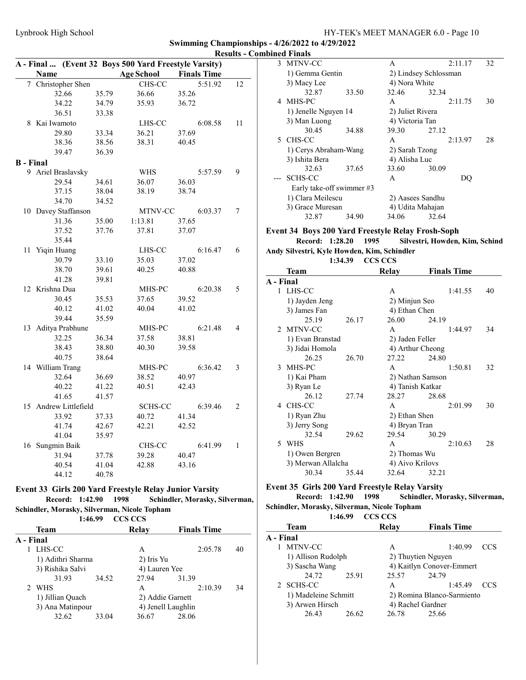3 MTNV-CC A 2:11.17 32

Swimming Championships - 4/26/2022 to 4/29/2022 Results - Combined Finals

|    |                  |                       |                | A - Final  (Event 32 Boys 500 Yard Freestyle Varsity)         |                    |                                |    |
|----|------------------|-----------------------|----------------|---------------------------------------------------------------|--------------------|--------------------------------|----|
|    | Name             |                       |                | <b>Age School</b>                                             | <b>Finals Time</b> |                                |    |
|    |                  | 7 Christopher Shen    |                | CHS-CC                                                        |                    | 5:51.92                        | 12 |
|    |                  | 32.66                 | 35.79          | 36.66                                                         | 35.26              |                                |    |
|    |                  | 34.22                 | 34.79          | 35.93                                                         | 36.72              |                                |    |
|    |                  | 36.51                 | 33.38          |                                                               |                    |                                |    |
|    | 8 Kai Iwamoto    |                       |                | LHS-CC                                                        |                    | 6:08.58                        | 11 |
|    |                  | 29.80                 | 33.34          | 36.21                                                         | 37.69              |                                |    |
|    |                  | 38.36                 | 38.56          | 38.31                                                         | 40.45              |                                |    |
|    |                  | 39.47                 | 36.39          |                                                               |                    |                                |    |
|    | <b>B</b> - Final |                       |                |                                                               |                    |                                |    |
|    |                  | 9 Ariel Braslavsky    |                | <b>WHS</b>                                                    |                    | 5:57.59                        | 9  |
|    |                  | 29.54                 | 34.61          | 36.07                                                         | 36.03              |                                |    |
|    |                  | 37.15                 | 38.04          | 38.19                                                         | 38.74              |                                |    |
|    |                  | 34.70                 | 34.52          |                                                               |                    |                                |    |
|    |                  | 10 Davey Staffanson   |                | MTNV-CC                                                       |                    | 6:03.37                        | 7  |
|    |                  | 31.36                 | 35.00          | 1:13.81                                                       | 37.65              |                                |    |
|    |                  | 37.52                 | 37.76          | 37.81                                                         | 37.07              |                                |    |
|    |                  | 35.44                 |                |                                                               |                    |                                |    |
| 11 | Yiqin Huang      |                       |                | LHS-CC                                                        |                    | 6:16.47                        | 6  |
|    |                  | 30.79                 | 33.10          | 35.03                                                         | 37.02              |                                |    |
|    |                  | 38.70                 | 39.61          | 40.25                                                         | 40.88              |                                |    |
|    |                  | 41.28                 | 39.81          |                                                               |                    |                                |    |
|    | 12 Krishna Dua   |                       |                | MHS-PC                                                        |                    | 6:20.38                        | 5  |
|    |                  | 30.45                 | 35.53          | 37.65                                                         | 39.52              |                                |    |
|    |                  | 40.12                 | 41.02          | 40.04                                                         | 41.02              |                                |    |
|    |                  | 39.44                 | 35.59          |                                                               |                    |                                |    |
|    |                  | 13 Aditya Prabhune    |                | MHS-PC                                                        |                    | 6:21.48                        | 4  |
|    |                  | 32.25                 | 36.34          | 37.58                                                         | 38.81              |                                |    |
|    |                  | 38.43                 | 38.80          | 40.30                                                         | 39.58              |                                |    |
|    |                  | 40.75                 | 38.64          |                                                               |                    |                                |    |
|    | 14 William Trang |                       |                | MHS-PC                                                        |                    | 6:36.42                        | 3  |
|    |                  | 32.64                 |                |                                                               |                    |                                |    |
|    |                  | 40.22                 | 36.69<br>41.22 | 38.52<br>40.51                                                | 40.97<br>42.43     |                                |    |
|    |                  |                       |                |                                                               |                    |                                |    |
|    |                  | 41.65                 | 41.57          |                                                               |                    |                                |    |
|    |                  | 15 Andrew Littlefield |                | <b>SCHS-CC</b>                                                |                    | 6:39.46                        | 2  |
|    |                  | 33.92                 | 37.33          | 40.72                                                         | 41.34              |                                |    |
|    |                  | 41.74                 | 42.67          | 42.21                                                         | 42.52              |                                |    |
|    |                  | 41.04                 | 35.97          |                                                               |                    |                                |    |
|    | 16 Sungmin Baik  |                       |                | CHS-CC                                                        |                    | 6:41.99                        | 1  |
|    |                  | 31.94                 | 37.78          | 39.28                                                         | 40.47              |                                |    |
|    |                  | 40.54                 | 41.04          | 42.88                                                         | 43.16              |                                |    |
|    |                  | 44.12                 | 40.78          |                                                               |                    |                                |    |
|    |                  |                       |                | <b>Event 33 Girls 200 Yard Freestyle Relay Junior Varsity</b> |                    |                                |    |
|    |                  | Record:<br>1:42.90    |                | 1998                                                          |                    | Schindler, Morasky, Silverman, |    |
|    |                  |                       |                | Schindler, Morasky, Silverman, Nicole Topham                  |                    |                                |    |
|    |                  | 1:46.99               |                | <b>CCS CCS</b>                                                |                    |                                |    |
|    | Team             |                       |                | Relay                                                         | <b>Finals Time</b> |                                |    |
|    | A - Final        |                       |                |                                                               |                    |                                |    |
|    | 1 LHS-CC         |                       |                | A                                                             |                    | 2:05.78                        | 40 |
|    |                  | 1) Adithri Sharma     |                | 2) Iris Yu                                                    |                    |                                |    |
|    |                  | 3) Rishika Salvi      |                | 4) Lauren Yee                                                 |                    |                                |    |
|    |                  | 31.93                 | 34.52          | 27.94                                                         | 31.39              |                                |    |
| 2  | WHS              |                       |                | A                                                             |                    | 2:10.39                        | 34 |
|    |                  | 1) Jillian Quach      |                | 2) Addie Garnett                                              |                    |                                |    |
|    |                  | 3) Ana Matinpour      |                | 4) Jenell Laughlin                                            |                    |                                |    |
|    |                  | 32.62                 | 33.04          | 36.67                                                         | 28.06              |                                |    |
|    |                  |                       |                |                                                               |                    |                                |    |

|           | 1) Gemma Gentin                                   |                | 2) Lindsey Schlossman |       |                                |    |
|-----------|---------------------------------------------------|----------------|-----------------------|-------|--------------------------------|----|
|           | 3) Macy Lee                                       |                | 4) Nora White         |       |                                |    |
|           | 32.87                                             | 33.50          | 32.46                 | 32.34 |                                |    |
| 4         | MHS-PC                                            |                | A                     |       | 2:11.75                        | 30 |
|           | 1) Jenelle Nguyen 14                              |                | 2) Juliet Rivera      |       |                                |    |
|           | 3) Man Luong                                      |                | 4) Victoria Tan       |       |                                |    |
|           | 30.45                                             | 34.88          | 39.30                 | 27.12 |                                |    |
| 5         | CHS-CC                                            |                | A                     |       | 2:13.97                        | 28 |
|           | 1) Cerys Abraham-Wang                             |                | 2) Sarah Tzong        |       |                                |    |
|           | 3) Ishita Bera                                    |                | 4) Alisha Luc         |       |                                |    |
|           | 32.63                                             | 37.65          | 33.60                 | 30.09 |                                |    |
|           | <b>SCHS-CC</b>                                    |                | A                     |       | DQ                             |    |
|           | Early take-off swimmer #3                         |                |                       |       |                                |    |
|           | 1) Clara Meilescu                                 |                | 2) Aasees Sandhu      |       |                                |    |
|           | 3) Grace Muresan                                  |                | 4) Udita Mahajan      |       |                                |    |
|           | 32.87                                             | 34.90          | 34.06                 | 32.64 |                                |    |
|           | Event 34 Boys 200 Yard Freestyle Relay Frosh-Soph |                |                       |       |                                |    |
|           | Record: 1:28.20                                   | 1995           |                       |       | Silvestri, Howden, Kim, Schind |    |
|           | Andy Silvestri, Kyle Howden, Kim, Schindler       |                |                       |       |                                |    |
|           | 1:34.39                                           | <b>CCS CCS</b> |                       |       |                                |    |
|           | Team                                              |                | <b>Relay</b>          |       | <b>Finals Time</b>             |    |
| A - Final |                                                   |                |                       |       |                                |    |
| 1         | LHS-CC                                            |                | A                     |       | 1:41.55                        | 40 |
|           | 1) Jayden Jeng                                    |                | 2) Minjun Seo         |       |                                |    |
|           | 3) James Fan                                      |                | 4) Ethan Chen         |       |                                |    |
|           | 25.19                                             | 26.17          | 26.00                 | 24.19 |                                |    |
| 2         | MTNV-CC                                           |                | A                     |       | 1:44.97                        | 34 |
|           | 1) Evan Branstad                                  |                | 2) Jaden Feller       |       |                                |    |
|           | 3) Jidai Homola                                   |                | 4) Arthur Cheong      |       |                                |    |
|           | 26.25                                             | 26.70          | 27.22                 | 24.80 |                                |    |
| 3         | MHS-PC                                            |                | A                     |       | 1:50.81                        | 32 |
|           | 1) Kai Pham                                       |                | 2) Nathan Samson      |       |                                |    |
|           | 3) Ryan Le                                        |                | 4) Tanish Katkar      |       |                                |    |
|           | 26.12                                             | 27.74          | 28.27                 | 28.68 |                                |    |
| 4         | CHS-CC                                            |                | A                     |       | 2:01.99                        | 30 |
|           | 1) Ryan Zhu                                       |                | 2) Ethan Shen         |       |                                |    |
|           | 3) Jerry Song                                     |                | 4) Bryan Tran         |       |                                |    |
|           | 32.54                                             | 29.62          | 29.54                 | 30.29 |                                |    |
| 5         | WHS                                               |                | A                     |       | 2:10.63                        | 28 |
|           | 1) Owen Bergren                                   |                | 2) Thomas Wu          |       |                                |    |
|           | 3) Merwan Allalcha                                |                | 4) Aivo Krilovs       |       |                                |    |
|           | 30.34                                             | 35.44          | 32.64                 | 32.21 |                                |    |
|           | Event 35 Girls 200 Yard Freestyle Relay Varsity   |                |                       |       |                                |    |
|           | Record:<br>1:42.90                                | 1998           |                       |       | Schindler, Morasky, Silverman, |    |

Schindler, Morasky, Silverman, Nicole Topham

|                    | 1:46.99 CCS CCS |                    |                           |            |  |
|--------------------|-----------------|--------------------|---------------------------|------------|--|
| Team               |                 | Relay              | <b>Finals Time</b>        |            |  |
| A - Final          |                 |                    |                           |            |  |
| MTNV-CC            |                 | А                  | 1:40.99                   | <b>CCS</b> |  |
| 1) Allison Rudolph |                 | 2) Thuytien Nguyen |                           |            |  |
| 3) Sascha Wang     |                 |                    | 4) Kaitlyn Conover-Emmert |            |  |
| 24.72              | 25.91           | 25.57              | 24.79                     |            |  |
| 2 SCHS-CC          |                 |                    | 1:45.49                   |            |  |

SCHS-CC A 1:45.49 CCS 1) Madeleine Schmitt 2) Romina Blanco-Sarmiento<br>3) Arwen Hirsch 4) Rachel Gardner 3) Arwen Hirsch 26.43 26.62 26.78 25.66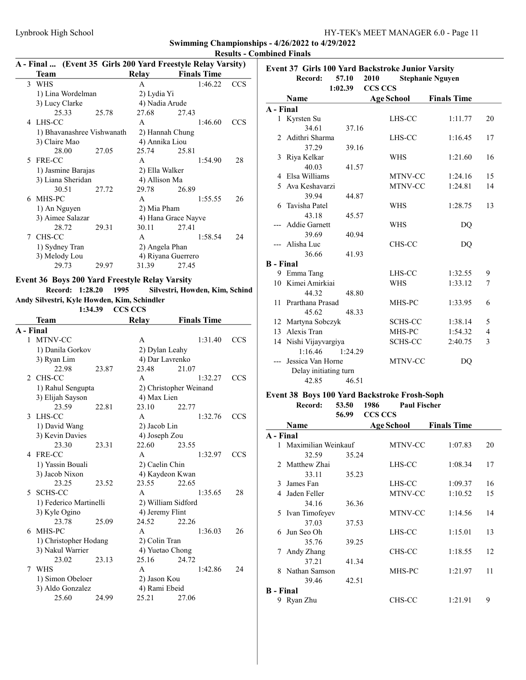|   |                            |       |                |                                                              |            | <b>Results - Combined Finals</b> |
|---|----------------------------|-------|----------------|--------------------------------------------------------------|------------|----------------------------------|
|   |                            |       |                | A - Final  (Event 35 Girls 200 Yard Freestyle Relay Varsity) |            | <b>Event 37 Gil</b>              |
|   | Team                       |       | Relay          | <b>Finals Time</b>                                           |            | Reco                             |
|   | 3 WHS                      |       | A              | 1:46.22                                                      | CCS        |                                  |
|   | 1) Lina Wordelman          |       | 2) Lydia Yi    |                                                              |            | <b>Name</b>                      |
|   | 3) Lucy Clarke             |       | 4) Nadia Arude |                                                              |            |                                  |
|   | 25.33                      | 25.78 | 27.68          | 27.43                                                        |            | A - Final                        |
| 4 | LHS-CC                     |       | $\mathsf{A}$   | 1:46.60                                                      | <b>CCS</b> | 1 Kyrsten                        |
|   | 1) Bhavanashree Vishwanath |       |                | 2) Hannah Chung                                              |            | 34                               |
|   | 3) Claire Mao              |       | 4) Annika Liou |                                                              |            | 2 Adithri S                      |
|   | 28.00                      | 27.05 | 25.74          | 25.81                                                        |            | 37                               |
|   | 5 FRE-CC                   |       | A              | 1:54.90                                                      | 28         | 3 Riya Kel                       |
|   | 1) Jasmine Barajas         |       | 2) Ella Walker |                                                              |            | 40                               |
|   | 3) Liana Sheridan          |       | 4) Allison Ma  |                                                              |            | 4 Elsa Wil                       |
|   | 30.51                      | 27.72 | 29.78          | 26.89                                                        |            | Ava Kes<br>5.                    |
|   | 6 MHS-PC                   |       | $\mathsf{A}$   | 1:55.55                                                      | 26         | 39                               |
|   | 1) An Nguyen               |       | 2) Mia Pham    |                                                              |            | Tavisha<br>6                     |
|   | 3) Aimee Salazar           |       |                | 4) Hana Grace Nayve                                          |            | 43                               |
|   | 28.72                      | 29.31 | 30.11          | 27.41                                                        |            | --- Addie G                      |
| 7 | CHS-CC                     |       | $\mathsf{A}$   | 1:58.54                                                      | 24         | 39                               |
|   |                            |       |                |                                                              |            | --- Alisha L                     |
|   | 1) Sydney Tran             |       | 2) Angela Phan |                                                              |            | 36                               |
|   | 3) Melody Lou              |       |                | 4) Riyana Guerrero                                           |            | <b>B</b> - Final                 |
|   | 29.73                      | 29.97 | 31.39          | 27.45                                                        |            | $0.$ Emma T                      |

Event 36 Boys 200 Yard Freestyle Relay Varsity<br>Record: 1:28.20 1995 Silvestri, How Silvestri, Howden, Kim, Schind Andy Silvestri, Kyle Howden, Kim, Schindler

1:34.39 CCS CCS

|                | Team                   |       | Relay           | <b>Finals Time</b>     |            |
|----------------|------------------------|-------|-----------------|------------------------|------------|
| A - Final      |                        |       |                 |                        |            |
|                | 1 MTNV-CC              |       | A               | 1:31.40                | <b>CCS</b> |
|                | 1) Danila Gorkov       |       | 2) Dylan Leahy  |                        |            |
|                | 3) Ryan Lim            |       | 4) Dar Lavrenko |                        |            |
|                | 22.98                  | 23.87 | 23.48           | 21.07                  |            |
| $\mathfrak{D}$ | CHS-CC                 |       | $\mathsf{A}$    | 1:32.27                | <b>CCS</b> |
|                | 1) Rahul Sengupta      |       |                 | 2) Christopher Weinand |            |
|                | 3) Elijah Sayson       |       | 4) Max Lien     |                        |            |
|                | 23.59                  | 22.81 | 23.10           | 22.77                  |            |
| 3              | LHS-CC                 |       | A               | 1:32.76                | <b>CCS</b> |
|                | 1) David Wang          |       | 2) Jacob Lin    |                        |            |
|                | 3) Kevin Davies        |       | 4) Joseph Zou   |                        |            |
|                | 23.30                  | 23.31 | 22.60           | 23.55                  |            |
| 4              | FRE-CC                 |       | A               | 1:32.97                | CCS        |
|                | 1) Yassin Bouali       |       | 2) Caelin Chin  |                        |            |
|                | 3) Jacob Nixon         |       |                 | 4) Kaydeon Kwan        |            |
|                | 23.25                  | 23.52 | 23.55           | 22.65                  |            |
| 5              | SCHS-CC                |       | A               | 1:35.65                | 28         |
|                | 1) Federico Martinelli |       |                 | 2) William Sidford     |            |
|                | 3) Kyle Ogino          |       | 4) Jeremy Flint |                        |            |
|                | 23.78                  | 25.09 | 24.52           | 22.26                  |            |
| 6              | MHS-PC                 |       | A               | 1:36.03                | 26         |
|                | 1) Christopher Hodang  |       | 2) Colin Tran   |                        |            |
|                | 3) Nakul Warrier       |       | 4) Yuetao Chong |                        |            |
|                | 23.02                  | 23.13 | 25.16           | 24.72                  |            |
| 7              | WHS                    |       | A               | 1:42.86                | 24         |
|                | 1) Simon Obeloer       |       | 2) Jason Kou    |                        |            |
|                | 3) Aldo Gonzalez       |       | 4) Rami Ebeid   |                        |            |
|                | 25.60                  | 24.99 | 25.21           | 27.06                  |            |

|                  | Record:               |                  | <b>Event 37 Girls 100 Yard Backstroke Junior Varsity</b> |                         |              |
|------------------|-----------------------|------------------|----------------------------------------------------------|-------------------------|--------------|
|                  |                       | 57.10<br>1:02.39 | 2010<br><b>CCS CCS</b>                                   | <b>Stephanie Nguyen</b> |              |
|                  | Name                  |                  | <b>Age School</b>                                        | <b>Finals Time</b>      |              |
| A - Final        |                       |                  |                                                          |                         |              |
|                  | 1 Kyrsten Su          |                  | LHS-CC                                                   | 1:11.77                 | 20           |
|                  | 34.61                 | 37.16            |                                                          |                         |              |
|                  | 2 Adithri Sharma      |                  | LHS-CC                                                   | 1:16.45                 | 17           |
|                  | 37.29                 | 39.16            |                                                          |                         |              |
|                  | 3 Riya Kelkar         |                  | <b>WHS</b>                                               | 1:21.60                 | 16           |
|                  | 40.03                 | 41.57            |                                                          |                         |              |
|                  | 4 Elsa Williams       |                  | MTNV-CC                                                  | 1:24.16                 | 15           |
|                  | 5 Ava Keshavarzi      |                  | MTNV-CC                                                  | 1:24.81                 | 14           |
|                  | 39.94                 | 44.87            |                                                          |                         |              |
|                  | 6 Tavisha Patel       |                  | WHS                                                      | 1:28.75                 | 13           |
|                  | 43.18                 | 45.57            |                                                          |                         |              |
|                  | <b>Addie Garnett</b>  |                  | WHS                                                      | DO                      |              |
|                  | 39.69                 | 40.94            |                                                          |                         |              |
|                  | Alisha Luc            |                  | CHS-CC                                                   | DQ                      |              |
|                  | 36.66                 | 41.93            |                                                          |                         |              |
| <b>B</b> - Final |                       |                  |                                                          |                         |              |
|                  | 9 Emma Tang           |                  | LHS-CC                                                   | 1:32.55                 | 9            |
|                  | 10 Kimei Amirkiai     |                  | <b>WHS</b>                                               | 1:33.12                 | 7            |
|                  | 44.32                 | 48.80            |                                                          |                         |              |
| 11               | Prarthana Prasad      |                  | MHS-PC                                                   | 1:33.95                 | 6            |
|                  | 45.62                 | 48.33            |                                                          |                         |              |
|                  | 12 Martyna Sobczyk    |                  | <b>SCHS-CC</b>                                           | 1:38.14                 | 5            |
|                  | 13 Alexis Tran        |                  | MHS-PC                                                   | 1:54.32                 | 4            |
|                  | 14 Nishi Vijayvargiya |                  | <b>SCHS-CC</b>                                           | 2:40.75                 | $\mathbf{3}$ |
|                  | 1:16.46               | 1:24.29          |                                                          |                         |              |
|                  | Jessica Van Horne     |                  | MTNV-CC                                                  | DQ                      |              |
|                  | Delay initiating turn |                  |                                                          |                         |              |
|                  | 42.85                 | 46.51            |                                                          |                         |              |

### Event 38 Boys 100 Yard Backstroke Frosh-Soph Record: 53.50 1986 Paul Fischer

56.99 CCS CCS

|               | Name                  |       | <b>Age School</b> | <b>Finals Time</b> |    |
|---------------|-----------------------|-------|-------------------|--------------------|----|
| A - Final     |                       |       |                   |                    |    |
|               | 1 Maximilian Weinkauf |       | <b>MTNV-CC</b>    | 1:07.83            | 20 |
|               | 32.59                 | 35.24 |                   |                    |    |
| $\mathcal{D}$ | Matthew Zhai          |       | LHS-CC            | 1:08.34            | 17 |
|               | 33.11                 | 35.23 |                   |                    |    |
| 3             | James Fan             |       | LHS-CC            | 1:09.37            | 16 |
| 4             | Jaden Feller          |       | MTNV-CC           | 1:10.52            | 15 |
|               | 34.16                 | 36.36 |                   |                    |    |
| 5.            | Ivan Timofeyev        |       | MTNV-CC           | 1:14.56            | 14 |
|               | 37.03                 | 37.53 |                   |                    |    |
| 6             | Jun Seo Oh            |       | LHS-CC            | 1:15.01            | 13 |
|               | 35.76                 | 39.25 |                   |                    |    |
| 7             | Andy Zhang            |       | CHS-CC            | 1:18.55            | 12 |
|               | 37.21                 | 41.34 |                   |                    |    |
| 8             | Nathan Samson         |       | MHS-PC            | 1:21.97            | 11 |
|               | 39.46                 | 42.51 |                   |                    |    |
| B - Final     |                       |       |                   |                    |    |
|               | Ryan Zhu              |       | CHS-CC            | 1:21.91            | 9  |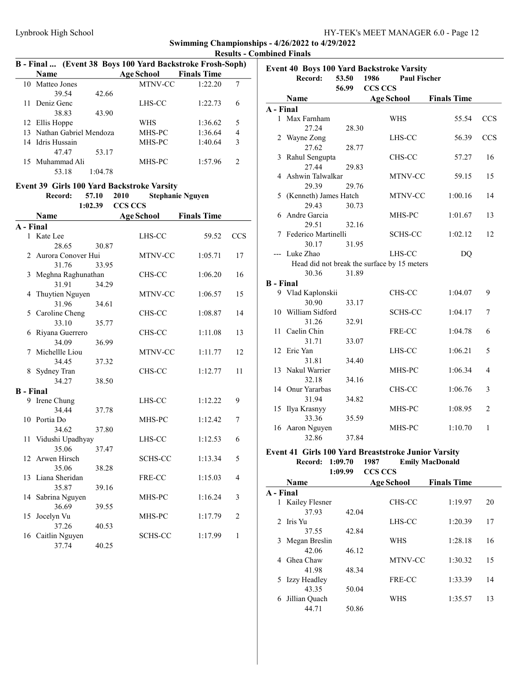|                  |                           |         | B - Final  (Event 38 Boys 100 Yard Backstroke Frosh-Soph) |                         |                |
|------------------|---------------------------|---------|-----------------------------------------------------------|-------------------------|----------------|
|                  | <b>Name</b>               |         | <b>Age School</b>                                         | <b>Finals Time</b>      |                |
|                  | 10 Matteo Jones           |         | MTNV-CC                                                   | 1:22.20                 | 7              |
|                  | 39.54                     | 42.66   |                                                           |                         |                |
|                  | 11 Deniz Genc             |         | LHS-CC                                                    | 1:22.73                 | 6              |
|                  | 38.83                     | 43.90   |                                                           |                         |                |
|                  | 12 Ellis Hoppe            |         | WHS                                                       | 1:36.62                 | 5              |
|                  | 13 Nathan Gabriel Mendoza |         | MHS-PC                                                    | 1:36.64                 | 4              |
|                  | 14 Idris Hussain          |         | MHS-PC                                                    | 1:40.64                 | 3              |
|                  | 47.47                     | 53.17   |                                                           |                         |                |
|                  | 15 Muhammad Ali           |         | MHS-PC                                                    | 1:57.96                 | $\overline{2}$ |
|                  | 53.18                     | 1:04.78 |                                                           |                         |                |
|                  |                           |         |                                                           |                         |                |
|                  |                           |         | Event 39 Girls 100 Yard Backstroke Varsity                |                         |                |
|                  | Record:                   | 57.10   | 2010                                                      | <b>Stephanie Nguyen</b> |                |
|                  |                           | 1:02.39 | <b>CCS CCS</b>                                            |                         |                |
|                  | Name                      |         | <b>Age School</b>                                         | <b>Finals Time</b>      |                |
| A - Final        |                           |         |                                                           |                         |                |
| 1                | Kate Lee                  |         | LHS-CC                                                    | 59.52                   | <b>CCS</b>     |
|                  | 28.65                     | 30.87   |                                                           |                         |                |
| 2                | Aurora Conover Hui        |         | MTNV-CC                                                   | 1:05.71                 | 17             |
|                  | 31.76                     | 33.95   |                                                           |                         |                |
| 3                | Meghna Raghunathan        |         | CHS-CC                                                    | 1:06.20                 | 16             |
|                  | 31.91                     | 34.29   |                                                           |                         |                |
| 4                | Thuytien Nguyen           |         | MTNV-CC                                                   | 1:06.57                 | 15             |
|                  | 31.96                     | 34.61   |                                                           |                         |                |
|                  | 5 Caroline Cheng          |         | CHS-CC                                                    | 1:08.87                 | 14             |
|                  | 33.10                     | 35.77   |                                                           |                         |                |
|                  | 6 Riyana Guerrero         |         | CHS-CC                                                    | 1:11.08                 | 13             |
|                  | 34.09                     | 36.99   |                                                           |                         |                |
| 7                | Michellle Liou            |         | MTNV-CC                                                   | 1:11.77                 | 12             |
|                  | 34.45                     | 37.32   |                                                           |                         |                |
|                  | 8 Sydney Tran             |         | CHS-CC                                                    | 1:12.77                 | 11             |
|                  | 34.27                     | 38.50   |                                                           |                         |                |
| <b>B</b> - Final |                           |         |                                                           | 1:12.22                 |                |
| 9                | Irene Chung<br>34.44      |         | LHS-CC                                                    |                         | 9              |
|                  | 10 Portia Do              | 37.78   | MHS-PC                                                    | 1:12.42                 | 7              |
|                  | 34.62                     | 37.80   |                                                           |                         |                |
|                  | 11 Vidushi Upadhyay       |         | LHS-CC                                                    | 1:12.53                 | 6              |
|                  | 35.06                     | 37.47   |                                                           |                         |                |
| 12               | Arwen Hirsch              |         | <b>SCHS-CC</b>                                            | 1:13.34                 | 5              |
|                  | 35.06                     | 38.28   |                                                           |                         |                |
| 13               | Liana Sheridan            |         | FRE-CC                                                    | 1:15.03                 | 4              |
|                  | 35.87                     | 39.16   |                                                           |                         |                |
| 14               | Sabrina Nguyen            |         | MHS-PC                                                    | 1:16.24                 | 3              |
|                  | 36.69                     | 39.55   |                                                           |                         |                |
| 15               | Jocelyn Vu                |         | MHS-PC                                                    | 1:17.79                 | 2              |
|                  | 37.26                     | 40.53   |                                                           |                         |                |
| 16               | Caitlin Nguyen            |         | SCHS-CC                                                   | 1:17.99                 | 1              |
|                  | 37.74                     | 40.25   |                                                           |                         |                |
|                  |                           |         |                                                           |                         |                |

|                  |                       |       | Event 40 Boys 100 Yard Backstroke Varsity   |                    |                |
|------------------|-----------------------|-------|---------------------------------------------|--------------------|----------------|
|                  | Record:               | 53.50 | 1986<br><b>Paul Fischer</b>                 |                    |                |
|                  |                       | 56.99 | <b>CCS CCS</b>                              |                    |                |
|                  | Name                  |       | <b>Age School</b>                           | <b>Finals Time</b> |                |
| A - Final        |                       |       |                                             |                    |                |
|                  | 1 Max Farnham         |       | WHS                                         | 55.54              | <b>CCS</b>     |
|                  | 27.24                 | 28.30 |                                             |                    |                |
| 2                | Wayne Zong            |       | LHS-CC                                      | 56.39              | <b>CCS</b>     |
|                  | 27.62                 | 28.77 |                                             |                    |                |
| 3                | Rahul Sengupta        |       | CHS-CC                                      | 57.27              | 16             |
|                  | 27.44                 | 29.83 |                                             |                    |                |
|                  | 4 Ashwin Talwalkar    |       | MTNV-CC                                     | 59.15              | 15             |
|                  | 29.39                 | 29.76 |                                             |                    |                |
| 5                | (Kenneth) James Hatch |       | MTNV-CC                                     | 1:00.16            | 14             |
|                  | 29.43                 | 30.73 |                                             |                    |                |
| 6                | Andre Garcia          |       | MHS-PC                                      | 1:01.67            | 13             |
|                  | 29.51                 | 32.16 |                                             |                    |                |
| 7                | Federico Martinelli   |       | <b>SCHS-CC</b>                              | 1:02.12            | 12             |
|                  | 30.17                 | 31.95 |                                             |                    |                |
|                  | --- Luke Zhao         |       | LHS-CC                                      | D <sub>O</sub>     |                |
|                  |                       |       | Head did not break the surface by 15 meters |                    |                |
|                  | 30.36                 | 31.89 |                                             |                    |                |
| <b>B</b> - Final |                       |       |                                             |                    |                |
|                  | 9 Vlad Kaplonskii     |       | CHS-CC                                      | 1:04.07            | 9              |
|                  | 30.90                 | 33.17 |                                             |                    |                |
|                  | 10 William Sidford    |       | <b>SCHS-CC</b>                              | 1:04.17            | 7              |
|                  | 31.26                 | 32.91 |                                             |                    |                |
| $11 -$           | Caelin Chin           |       | FRE-CC                                      | 1:04.78            | 6              |
|                  | 31.71                 | 33.07 |                                             |                    |                |
|                  | 12 Eric Yan           |       | LHS-CC                                      | 1:06.21            | 5              |
|                  | 31.81                 | 34.40 |                                             |                    |                |
|                  | 13 Nakul Warrier      |       | MHS-PC                                      | 1:06.34            | 4              |
|                  | 32.18                 | 34.16 |                                             |                    |                |
|                  | 14 Onur Yararbas      |       | CHS-CC                                      | 1:06.76            | 3              |
|                  | 31.94                 | 34.82 |                                             |                    |                |
|                  | 15 Ilya Krasnyy       |       | MHS-PC                                      | 1:08.95            | $\overline{c}$ |
|                  | 33.36                 | 35.59 |                                             |                    |                |
|                  | 16 Aaron Nguyen       |       | MHS-PC                                      | 1:10.70            | 1              |
|                  | 32.86                 | 37.84 |                                             |                    |                |
|                  |                       |       |                                             |                    |                |

### Event 41 Girls 100 Yard Breaststroke Junior Varsity<br>Record: 1:09.70 1987 Emily MacDonald Record: 1:09.70 1987 1:09.99 CCS CCS

|           | <b>Name</b>    |       | Age School     | <b>Finals Time</b> |    |
|-----------|----------------|-------|----------------|--------------------|----|
| A - Final |                |       |                |                    |    |
|           | Kailey Flesner |       | CHS-CC         | 1:19.97            | 20 |
|           | 37.93          | 42.04 |                |                    |    |
|           | 2 Iris Yu      |       | LHS-CC         | 1:20.39            | 17 |
|           | 37.55          | 42.84 |                |                    |    |
| 3         | Megan Breslin  |       | <b>WHS</b>     | 1:28.18            | 16 |
|           | 42.06          | 46.12 |                |                    |    |
| 4         | Ghea Chaw      |       | <b>MTNV-CC</b> | 1:30.32            | 15 |
|           | 41.98          | 48.34 |                |                    |    |
| 5         | Izzy Headley   |       | FRE-CC         | 1:33.39            | 14 |
|           | 43.35          | 50.04 |                |                    |    |
| 6         | Jillian Quach  |       | WHS            | 1:35.57            | 13 |
|           | 44.71          | 50.86 |                |                    |    |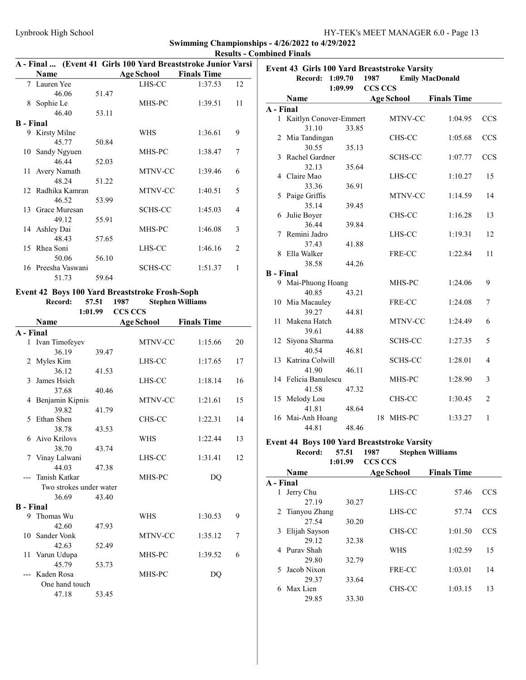|                  |                    |       | A - Final  (Event 41 Girls 100 Yard Breaststroke Junior Varsi |                    |                |
|------------------|--------------------|-------|---------------------------------------------------------------|--------------------|----------------|
|                  | Name               |       | Age School                                                    | <b>Finals Time</b> |                |
|                  | 7 Lauren Yee       |       | LHS-CC                                                        | 1:37.53            | 12             |
|                  | 46.06              | 51.47 |                                                               |                    |                |
| 8                | Sophie Le          |       | MHS-PC                                                        | 1:39.51            | 11             |
|                  | 46.40              | 53.11 |                                                               |                    |                |
| <b>B</b> - Final |                    |       |                                                               |                    |                |
| 9.               | Kirsty Milne       |       | WHS                                                           | 1:36.61            | 9              |
|                  | 45.77              | 50.84 |                                                               |                    |                |
| 10               | Sandy Ngyuen       |       | MHS-PC                                                        | 1:38.47            | 7              |
|                  | 46.44              | 52.03 |                                                               |                    |                |
| 11-              | Avery Namath       |       | MTNV-CC                                                       | 1:39.46            | 6              |
|                  | 48.24              | 51.22 |                                                               |                    |                |
|                  | 12 Radhika Kamran  |       | <b>MTNV-CC</b>                                                | 1:40.51            | 5              |
|                  | 46.52              | 53.99 |                                                               |                    |                |
| 13               | Grace Muresan      |       | <b>SCHS-CC</b>                                                | 1:45.03            | 4              |
|                  | 49.12              | 55.91 |                                                               |                    |                |
| 14               | Ashley Dai         |       | MHS-PC                                                        | 1:46.08            | 3              |
|                  | 48.43              | 57.65 |                                                               |                    |                |
| 15               | Rhea Soni          |       | LHS-CC                                                        | 1:46.16            | $\overline{2}$ |
|                  | 50.06              | 56.10 |                                                               |                    |                |
|                  | 16 Preesha Vaswani |       | <b>SCHS-CC</b>                                                | 1:51.37            | 1              |
|                  | 51.73              | 59.64 |                                                               |                    |                |

Event 42 Boys 100 Yard Breaststroke Frosh-Soph Record: 57.51 1987 Stephen Williams<br>1:01.99 CCS CCS CCS CCS Name Age School Finals Time A - Final 1 Ivan Timofeyev MTNV-CC 1:15.66 20 36.19 39.47 2 Myles Kim LHS-CC 1:17.65 17 36.12 41.53 3 James Hsieh LHS-CC 1:18.14 16 37.68 40.46 4 Benjamin Kipnis MTNV-CC 1:21.61 15 39.82 41.79 5 Ethan Shen CHS-CC 1:22.31 14 38.78 43.53 6 1:22.44 13 Aivo Krilovs WHS 38.70 43.74 7 1:31.41 12 Vinay Lalwani LHS-CC 44.03 47.38 --- Tanish Katkar MHS-PC DQ Two strokes under water 36.69 43.40 B - Final 9 1:30.53 9 Thomas Wu WHS 42.60 47.93 10 Sander Vonk MTNV-CC 1:35.12 7 42.63 52.49 11 Varun Udupa MHS-PC 1:39.52 6 45.79 53.73 --- Kaden Rosa MHS-PC DQ One hand touch 47.18 53.45

|                  | <b>Event 43 Girls 100 Yard Breaststroke Varsity</b> |         |         |                   |                        |            |
|------------------|-----------------------------------------------------|---------|---------|-------------------|------------------------|------------|
|                  | Record:                                             | 1:09.70 | 1987    |                   | <b>Emily MacDonald</b> |            |
|                  |                                                     | 1:09.99 | CCS CCS |                   |                        |            |
|                  | Name                                                |         |         | <b>Age School</b> | <b>Finals Time</b>     |            |
| A - Final        |                                                     |         |         |                   |                        |            |
|                  | 1 Kaitlyn Conover-Emmert                            |         |         | MTNV-CC           | 1:04.95                | <b>CCS</b> |
|                  | 31.10                                               | 33.85   |         |                   |                        |            |
|                  | 2 Mia Tandingan                                     |         |         | CHS-CC            | 1:05.68                | CCS        |
|                  | 30.55                                               | 35.13   |         |                   |                        |            |
| 3                | Rachel Gardner                                      |         |         | SCHS-CC           | 1:07.77                | CCS        |
|                  | 32.13                                               | 35.64   |         |                   |                        |            |
|                  | 4 Claire Mao                                        |         |         | LHS-CC            | 1:10.27                | 15         |
|                  | 33.36                                               | 36.91   |         |                   |                        |            |
|                  | 5 Paige Griffis                                     |         |         | MTNV-CC           | 1:14.59                | 14         |
|                  | 35.14                                               | 39.45   |         |                   |                        |            |
|                  | 6 Julie Boyer                                       |         |         | CHS-CC            | 1:16.28                | 13         |
|                  | 36.44                                               | 39.84   |         |                   |                        |            |
| 7                | Remini Jadro                                        |         |         | LHS-CC            | 1:19.31                | 12         |
|                  | 37.43                                               | 41.88   |         |                   |                        |            |
| 8                | Ella Walker                                         |         |         | FRE-CC            | 1:22.84                | 11         |
|                  | 38.58                                               | 44.26   |         |                   |                        |            |
| <b>B</b> - Final |                                                     |         |         |                   |                        |            |
|                  | 9 Mai-Phuong Hoang                                  |         |         | MHS-PC            | 1:24.06                | 9          |
|                  | 40.85                                               | 43.21   |         |                   |                        |            |
|                  | 10 Mia Macauley                                     |         |         | FRE-CC            | 1:24.08                | 7          |
|                  | 39.27                                               | 44.81   |         |                   |                        |            |
|                  | 11 Makena Hatch                                     |         |         | MTNV-CC           | 1:24.49                | 6          |
|                  | 39.61                                               | 44.88   |         |                   |                        |            |
| 12               | Siyona Sharma                                       |         |         | <b>SCHS-CC</b>    | 1:27.35                | 5          |
|                  | 40.54                                               | 46.81   |         |                   |                        |            |
|                  | 13 Katrina Colwill                                  |         |         | <b>SCHS-CC</b>    | 1:28.01                | 4          |
|                  | 41.90                                               | 46.11   |         |                   |                        |            |
|                  | 14 Felicia Banulescu                                |         |         | MHS-PC            | 1:28.90                | 3          |
|                  | 41.58                                               | 47.32   |         |                   |                        |            |
|                  | 15 Melody Lou                                       |         |         | CHS-CC            | 1:30.45                | 2          |
|                  | 41.81                                               | 48.64   |         |                   |                        |            |
|                  | 16 Mai-Anh Hoang                                    |         | 18      | MHS-PC            | 1:33.27                | 1          |
|                  | 44.81                                               | 48.46   |         |                   |                        |            |
|                  |                                                     |         |         |                   |                        |            |

### Event 44 Boys 100 Yard Breaststroke Varsity

| Record: | 57.51 1987 |                   | <b>Stephen Williams</b> |
|---------|------------|-------------------|-------------------------|
|         |            | $1:01.99$ CCS CCS |                         |

|           | <b>Name</b>     |       | <b>Age School</b> | <b>Finals Time</b> |            |
|-----------|-----------------|-------|-------------------|--------------------|------------|
| A - Final |                 |       |                   |                    |            |
| 1         | Jerry Chu       |       | LHS-CC            | 57.46              | CCS        |
|           | 27.19           | 30.27 |                   |                    |            |
|           | 2 Tianyou Zhang |       | LHS-CC            | 57.74              | <b>CCS</b> |
|           | 27.54           | 30.20 |                   |                    |            |
| 3         | Elijah Sayson   |       | CHS-CC            | 1:01.50            | CCS        |
|           | 29.12           | 32.38 |                   |                    |            |
|           | 4 Puray Shah    |       | WHS               | 1:02.59            | 15         |
|           | 29.80           | 32.79 |                   |                    |            |
| 5.        | Jacob Nixon     |       | FRE-CC            | 1:03.01            | 14         |
|           | 29.37           | 33.64 |                   |                    |            |
|           | 6 Max Lien      |       | CHS-CC            | 1:03.15            | 13         |
|           | 29.85           | 33.30 |                   |                    |            |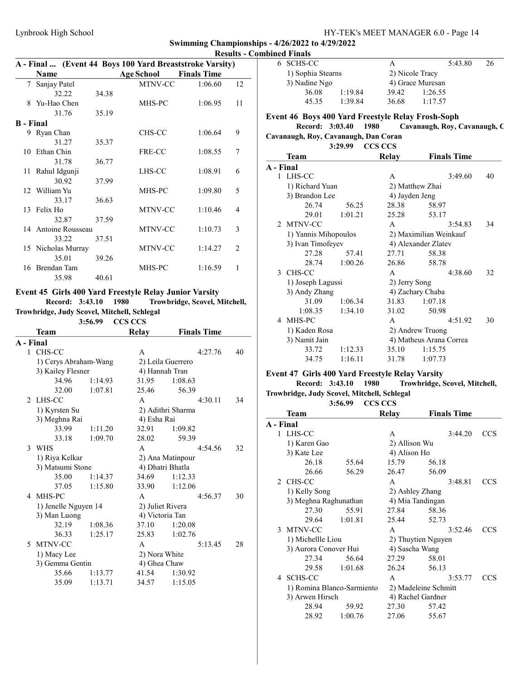|                  |                     |       | A - Final  (Event 44 Boys 100 Yard Breaststroke Varsity) |                    |                |
|------------------|---------------------|-------|----------------------------------------------------------|--------------------|----------------|
|                  | Name                |       | Age School                                               | <b>Finals Time</b> |                |
| 7                | Sanjay Patel        |       | MTNV-CC                                                  | 1:06.60            | 12             |
|                  | 32.22               | 34.38 |                                                          |                    |                |
| 8                | Yu-Hao Chen         |       | MHS-PC                                                   | 1:06.95            | 11             |
|                  | 31.76               | 35.19 |                                                          |                    |                |
| <b>B</b> - Final |                     |       |                                                          |                    |                |
|                  | 9 Ryan Chan         |       | CHS-CC                                                   | 1:06.64            | 9              |
|                  | 31.27               | 35.37 |                                                          |                    |                |
|                  | 10 Ethan Chin       |       | FRE-CC                                                   | 1:08.55            | 7              |
|                  | 31.78               | 36.77 |                                                          |                    |                |
| 11 -             | Rahul Idgunji       |       | LHS-CC                                                   | 1:08.91            | 6              |
|                  | 30.92               | 37.99 |                                                          |                    |                |
|                  | 12 William Yu       |       | MHS-PC                                                   | 1:09.80            | 5              |
|                  | 33.17               | 36.63 |                                                          |                    |                |
|                  | 13 Felix Ho         |       | MTNV-CC                                                  | 1:10.46            | 4              |
|                  | 32.87               | 37.59 |                                                          |                    |                |
|                  | 14 Antoine Rousseau |       | MTNV-CC                                                  | 1:10.73            | 3              |
|                  | 33.22               | 37.51 |                                                          |                    |                |
|                  | 15 Nicholas Murray  |       | <b>MTNV-CC</b>                                           | 1:14.27            | $\overline{2}$ |
|                  | 35.01               | 39.26 |                                                          |                    |                |
| 16               | Brendan Tam         |       | MHS-PC                                                   | 1:16.59            | 1              |
|                  | 35.98               | 40.61 |                                                          |                    |                |

### Event 45 Girls 400 Yard Freestyle Relay Junior Varsity

Record: 3:43.10 1980 Trowbridge, Scovel, Mitchell, Trowbridge, Judy Scovel, Mitchell, Schlegal

3:56.99 CCS CCS

| Team           |         | Relay                                                                                                     | <b>Finals Time</b> |                                                                                                                                                                                         |
|----------------|---------|-----------------------------------------------------------------------------------------------------------|--------------------|-----------------------------------------------------------------------------------------------------------------------------------------------------------------------------------------|
| A - Final      |         |                                                                                                           |                    |                                                                                                                                                                                         |
| 1 CHS-CC       |         | A                                                                                                         | 4:27.76            | 40                                                                                                                                                                                      |
|                |         |                                                                                                           |                    |                                                                                                                                                                                         |
|                |         |                                                                                                           |                    |                                                                                                                                                                                         |
| 34.96          | 1:14.93 | 31.95                                                                                                     | 1:08.63            |                                                                                                                                                                                         |
| 32.00          | 1:07.81 | 25.46                                                                                                     | 56.39              |                                                                                                                                                                                         |
| LHS-CC         |         | $\mathsf{A}$                                                                                              | 4:30.11            | 34                                                                                                                                                                                      |
| 1) Kyrsten Su  |         |                                                                                                           |                    |                                                                                                                                                                                         |
| 3) Meghna Rai  |         |                                                                                                           |                    |                                                                                                                                                                                         |
| 33.99          | 1:11.20 | 32.91                                                                                                     | 1:09.82            |                                                                                                                                                                                         |
| 33.18          | 1:09.70 | 28.02                                                                                                     | 59.39              |                                                                                                                                                                                         |
| <b>WHS</b>     |         | $\mathsf{A}$                                                                                              | 4:54.56            | 32                                                                                                                                                                                      |
| 1) Riya Kelkar |         |                                                                                                           |                    |                                                                                                                                                                                         |
|                |         |                                                                                                           |                    |                                                                                                                                                                                         |
| 35.00          | 1:14.37 | 34.69                                                                                                     | 1:12.33            |                                                                                                                                                                                         |
| 37.05          | 1:15.80 | 33.90                                                                                                     | 1:12.06            |                                                                                                                                                                                         |
| MHS-PC         |         | $\mathsf{A}$                                                                                              | 4:56.37            | 30                                                                                                                                                                                      |
|                |         |                                                                                                           |                    |                                                                                                                                                                                         |
| 3) Man Luong   |         |                                                                                                           |                    |                                                                                                                                                                                         |
| 32.19          | 1:08.36 | 37.10                                                                                                     | 1:20.08            |                                                                                                                                                                                         |
| 36.33          | 1:25.17 | 25.83                                                                                                     | 1:02.76            |                                                                                                                                                                                         |
| MTNV-CC        |         | A                                                                                                         | 5:13.45            | 28                                                                                                                                                                                      |
| 1) Macy Lee    |         |                                                                                                           |                    |                                                                                                                                                                                         |
|                |         |                                                                                                           |                    |                                                                                                                                                                                         |
| 35.66          | 1:13.77 | 41.54                                                                                                     | 1:30.92            |                                                                                                                                                                                         |
|                | 1:13.71 | 34.57                                                                                                     | 1:15.05            |                                                                                                                                                                                         |
|                | 35.09   | 1) Cerys Abraham-Wang<br>3) Kailey Flesner<br>3) Matsumi Stone<br>1) Jenelle Nguyen 14<br>3) Gemma Gentin |                    | 2) Leila Guerrero<br>4) Hannah Tran<br>2) Adithri Sharma<br>4) Esha Rai<br>2) Ana Matinpour<br>4) Dhatri Bhatla<br>2) Juliet Rivera<br>4) Victoria Tan<br>2) Nora White<br>4) Ghea Chaw |

| 6             | <b>SCHS-CC</b>                                    |                 | A              | 5:43.80                      | 26 |
|---------------|---------------------------------------------------|-----------------|----------------|------------------------------|----|
|               | 1) Sophia Stearns                                 |                 |                | 2) Nicole Tracy              |    |
|               | 3) Nadine Ngo                                     |                 |                | 4) Grace Muresan             |    |
|               | 36.08                                             | 1:19.84         | 39.42          | 1:26.55                      |    |
|               | 45.35                                             | 1:39.84         | 36.68          | 1:17.57                      |    |
|               | Event 46 Boys 400 Yard Freestyle Relay Frosh-Soph |                 |                |                              |    |
|               | Record: 3:03.40                                   |                 | 1980           | Cavanaugh, Roy, Cavanaugh, C |    |
|               | Cavanaugh, Roy, Cavanaugh, Dan Coran              |                 |                |                              |    |
|               |                                                   | 3:29.99 CCS CCS |                |                              |    |
|               | Team                                              |                 | Relay          | <b>Finals Time</b>           |    |
| A - Final     |                                                   |                 |                |                              |    |
|               | 1 LHS-CC                                          |                 | A              | 3:49.60                      | 40 |
|               | 1) Richard Yuan                                   |                 |                | 2) Matthew Zhai              |    |
|               | 3) Brandon Lee                                    |                 | 4) Jayden Jeng |                              |    |
|               | 26.74                                             | 56.25           | 28.38          | 58.97                        |    |
|               | 29.01                                             | 1:01.21         | 25.28          | 53.17                        |    |
| $\mathcal{D}$ | MTNV-CC                                           |                 | $\mathsf{A}$   | 3:54.83                      | 34 |
|               | 1) Yannis Mihopoulos                              |                 |                | 2) Maximilian Weinkauf       |    |
|               | 3) Ivan Timofeyev                                 |                 |                | 4) Alexander Zlatev          |    |
|               | 27.28                                             | 57.41           | 27.71          | 58.38                        |    |
|               | 28.74                                             | 1:00.26         | 26.86          | 58.78                        |    |
| 3             | CHS-CC                                            |                 | $\overline{A}$ | 4:38.60                      | 32 |
|               | 1) Joseph Lagussi                                 |                 | 2) Jerry Song  |                              |    |
|               | 3) Andy Zhang                                     |                 |                | 4) Zachary Chaba             |    |
|               | 31.09                                             | 1:06.34         | 31.83          | 1:07.18                      |    |
|               | 1:08.35                                           | 1:34.10         | 31.02          | 50.98                        |    |
|               | 4 MHS-PC                                          |                 | A              | 4:51.92                      | 30 |
|               | 1) Kaden Rosa                                     |                 |                | 2) Andrew Truong             |    |
|               | 3) Namit Jain                                     |                 |                | 4) Matheus Arana Correa      |    |
|               | 33.72                                             | 1:12.33         | 35.10          | 1:15.75                      |    |
|               | 34.75                                             | 1:16.11         | 31.78          | 1:07.73                      |    |

### Event 47 Girls 400 Yard Freestyle Relay Varsity

Record: 3:43.10 1980 Trowbridge, Scovel, Mitchell, Trowbridge, Judy Scovel, Mitchell, Schlegal

3:56.99 CCS CCS

|           | Team                       |         | Relay          | <b>Finals Time</b>   |            |
|-----------|----------------------------|---------|----------------|----------------------|------------|
| A - Final |                            |         |                |                      |            |
|           | 1 LHS-CC                   |         | A              | 3:44.20              | CCS        |
|           | 1) Karen Gao               |         | 2) Allison Wu  |                      |            |
|           | 3) Kate Lee                |         | 4) Alison Ho   |                      |            |
|           | 26.18                      | 55.64   | 15.79          | 56.18                |            |
|           | 26.66                      | 56.29   | 26.47          | 56.09                |            |
|           | 2 CHS-CC                   |         | $\mathsf{A}$   | 3:48.81              | <b>CCS</b> |
|           | 1) Kelly Song              |         |                | 2) Ashley Zhang      |            |
|           | 3) Meghna Raghunathan      |         |                | 4) Mia Tandingan     |            |
|           | 27.30                      | 55.91   | 27.84          | 58.36                |            |
|           | 29.64                      | 1:01.81 | 25.44          | 52.73                |            |
|           | 3 MTNV-CC                  |         | $\mathsf{A}$   | 3:52.46              | <b>CCS</b> |
|           | 1) Michellle Liou          |         |                | 2) Thuytien Nguyen   |            |
|           | 3) Aurora Conover Hui      |         | 4) Sascha Wang |                      |            |
|           | 27.34                      | 56.64   | 27.29          | 58.01                |            |
|           | 29.58                      | 1:01.68 | 26.24          | 56.13                |            |
|           | 4 SCHS-CC                  |         | $\mathsf{A}$   | 3:53.77              | <b>CCS</b> |
|           | 1) Romina Blanco-Sarmiento |         |                | 2) Madeleine Schmitt |            |
|           | 3) Arwen Hirsch            |         |                | 4) Rachel Gardner    |            |
|           | 28.94                      | 59.92   | 27.30          | 57.42                |            |
|           | 28.92                      | 1:00.76 | 27.06          | 55.67                |            |